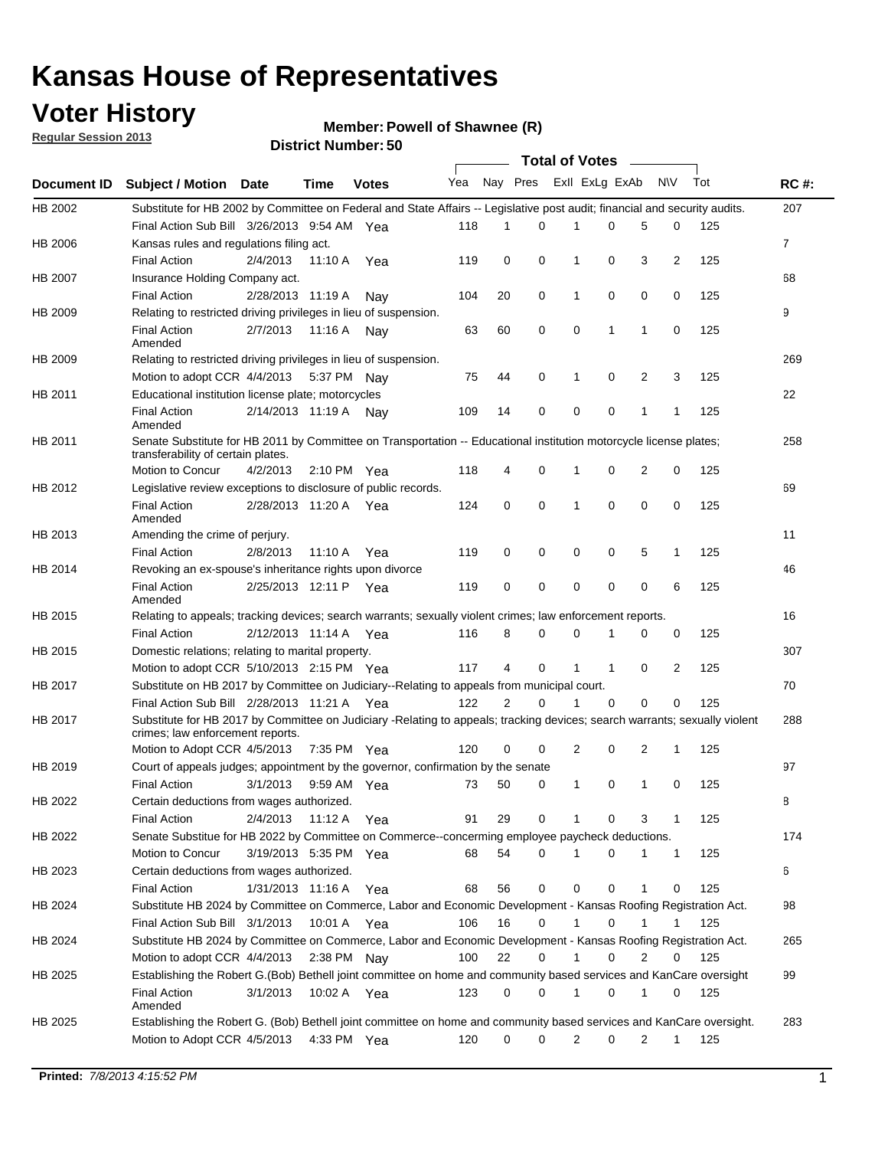### **Voter History**

**Member: Powell of Shawnee (R)** 

**Regular Session 2013**

|                    |                                                                                                                                                                |                       | טט. וסמוווטנו ועוווט |              |              |                | Total of Votes – |              |                |   |              |     |              |
|--------------------|----------------------------------------------------------------------------------------------------------------------------------------------------------------|-----------------------|----------------------|--------------|--------------|----------------|------------------|--------------|----------------|---|--------------|-----|--------------|
| <b>Document ID</b> | <b>Subject / Motion Date</b>                                                                                                                                   |                       | <b>Time</b>          | <b>Votes</b> | Yea Nay Pres |                |                  |              | Exll ExLg ExAb |   | <b>NV</b>    | Tot | <b>RC#:</b>  |
| HB 2002            | Substitute for HB 2002 by Committee on Federal and State Affairs -- Legislative post audit; financial and security audits.                                     |                       |                      |              |              |                |                  |              |                |   |              |     | 207          |
|                    | Final Action Sub Bill 3/26/2013 9:54 AM Yea                                                                                                                    |                       |                      |              | 118          | 1              | $\Omega$         |              | 0              | 5 | 0            | 125 |              |
| HB 2006            | Kansas rules and regulations filing act.                                                                                                                       |                       |                      |              |              |                |                  |              |                |   |              |     | $\mathbf{7}$ |
|                    | <b>Final Action</b>                                                                                                                                            | 2/4/2013              | 11:10 A              | Yea          | 119          | 0              | 0                | 1            | 0              | 3 | 2            | 125 |              |
| HB 2007            | Insurance Holding Company act.                                                                                                                                 |                       |                      |              |              |                |                  |              |                |   |              |     | 68           |
|                    | <b>Final Action</b>                                                                                                                                            | 2/28/2013 11:19 A     |                      | Nav          | 104          | 20             | 0                | 1            | 0              | 0 | 0            | 125 |              |
| HB 2009            | Relating to restricted driving privileges in lieu of suspension.                                                                                               |                       |                      |              |              |                |                  |              |                |   |              |     | 9            |
|                    | <b>Final Action</b><br>Amended                                                                                                                                 | 2/7/2013              | 11:16 A Nay          |              | 63           | 60             | 0                | 0            | 1              | 1 | 0            | 125 |              |
| HB 2009            | Relating to restricted driving privileges in lieu of suspension.                                                                                               |                       |                      |              |              |                |                  |              |                |   |              |     | 269          |
|                    | Motion to adopt CCR 4/4/2013                                                                                                                                   |                       | 5:37 PM Nav          |              | 75           | 44             | 0                | 1            | 0              | 2 | 3            | 125 |              |
| HB 2011            | Educational institution license plate; motorcycles                                                                                                             |                       |                      |              |              |                |                  |              |                |   |              |     | 22           |
|                    | <b>Final Action</b><br>Amended                                                                                                                                 | 2/14/2013 11:19 A Nay |                      |              | 109          | 14             | 0                | 0            | 0              | 1 | 1            | 125 |              |
| HB 2011            | Senate Substitute for HB 2011 by Committee on Transportation -- Educational institution motorcycle license plates;<br>transferability of certain plates.       |                       |                      |              |              |                |                  |              |                |   |              |     | 258          |
|                    | Motion to Concur                                                                                                                                               | 4/2/2013              | 2:10 PM $Yea$        |              | 118          | 4              | 0                | 1            | 0              | 2 | 0            | 125 |              |
| HB 2012            | Legislative review exceptions to disclosure of public records.                                                                                                 |                       |                      |              |              |                |                  |              |                |   |              |     | 69           |
|                    | <b>Final Action</b><br>Amended                                                                                                                                 | 2/28/2013 11:20 A Yea |                      |              | 124          | 0              | 0                | 1            | 0              | 0 | 0            | 125 |              |
| HB 2013            | Amending the crime of perjury.                                                                                                                                 |                       |                      |              |              |                |                  |              |                |   |              |     | 11           |
|                    | <b>Final Action</b>                                                                                                                                            | 2/8/2013              | 11:10 A              | Yea          | 119          | 0              | 0                | 0            | 0              | 5 | 1            | 125 |              |
| HB 2014            | Revoking an ex-spouse's inheritance rights upon divorce                                                                                                        |                       |                      |              |              |                |                  |              |                |   |              |     | 46           |
|                    | <b>Final Action</b><br>Amended                                                                                                                                 | 2/25/2013 12:11 P Yea |                      |              | 119          | 0              | 0                | 0            | 0              | 0 | 6            | 125 |              |
| HB 2015            | Relating to appeals; tracking devices; search warrants; sexually violent crimes; law enforcement reports.                                                      |                       |                      |              |              |                |                  |              |                |   |              |     | 16           |
|                    | <b>Final Action</b>                                                                                                                                            | 2/12/2013 11:14 A     |                      | Yea          | 116          | 8              | 0                | 0            | 1              | 0 | 0            | 125 |              |
| HB 2015            | Domestic relations; relating to marital property.                                                                                                              |                       |                      |              |              |                |                  |              |                |   |              |     | 307          |
|                    | Motion to adopt CCR 5/10/2013 2:15 PM Yea                                                                                                                      |                       |                      |              | 117          | 4              | 0                | 1            | $\mathbf{1}$   | 0 | 2            | 125 |              |
| HB 2017            | Substitute on HB 2017 by Committee on Judiciary--Relating to appeals from municipal court.                                                                     |                       |                      |              |              |                |                  |              |                |   |              |     | 70           |
|                    | Final Action Sub Bill 2/28/2013 11:21 A Yea                                                                                                                    |                       |                      |              | 122          | $\overline{2}$ | 0                | 1            | 0              | 0 | 0            | 125 |              |
| HB 2017            | Substitute for HB 2017 by Committee on Judiciary -Relating to appeals; tracking devices; search warrants; sexually violent<br>crimes; law enforcement reports. |                       |                      |              |              |                |                  |              |                |   |              |     | 288          |
|                    | Motion to Adopt CCR 4/5/2013                                                                                                                                   |                       | 7:35 PM Yea          |              | 120          | 0              | 0                | 2            | 0              | 2 | 1            | 125 |              |
| HB 2019            | Court of appeals judges; appointment by the governor, confirmation by the senate                                                                               |                       |                      |              |              |                |                  |              |                |   |              |     | 97           |
|                    | <b>Final Action</b>                                                                                                                                            | 3/1/2013              | 9:59 AM Yea          |              | 73           | 50             | 0                | 1            | 0              | 1 | 0            | 125 |              |
| HB 2022            | Certain deductions from wages authorized.                                                                                                                      |                       |                      |              |              |                |                  |              |                |   |              |     | 8            |
|                    | <b>Final Action</b>                                                                                                                                            | 2/4/2013              | 11:12 A              | Yea          | 91           | 29             | 0                |              | 0              | 3 | 1            | 125 |              |
| HB 2022            | Senate Substitue for HB 2022 by Committee on Commerce--concerming employee paycheck deductions.                                                                |                       |                      |              |              |                |                  |              |                |   |              |     | 174          |
|                    | Motion to Concur                                                                                                                                               | 3/19/2013 5:35 PM Yea |                      |              | 68           | 54             | 0                | 1            | 0              | 1 | $\mathbf{1}$ | 125 |              |
| HB 2023            | Certain deductions from wages authorized.                                                                                                                      |                       |                      |              |              |                |                  |              |                |   |              |     | 6            |
|                    | <b>Final Action</b>                                                                                                                                            | 1/31/2013 11:16 A     |                      | Yea          | 68           | 56             | 0                | 0            | 0              | 1 | 0            | 125 |              |
| HB 2024            | Substitute HB 2024 by Committee on Commerce, Labor and Economic Development - Kansas Roofing Registration Act.                                                 |                       |                      |              |              |                |                  |              |                |   |              |     | 98           |
|                    | Final Action Sub Bill 3/1/2013                                                                                                                                 |                       | 10:01 A              | Yea          | 106          | 16             | 0                | $\mathbf{1}$ | 0              | 1 | 1            | 125 |              |
| HB 2024            | Substitute HB 2024 by Committee on Commerce, Labor and Economic Development - Kansas Roofing Registration Act.                                                 |                       |                      |              |              |                |                  |              |                |   |              |     | 265          |
|                    | Motion to adopt CCR 4/4/2013                                                                                                                                   |                       | 2:38 PM Nay          |              | 100          | 22             | 0                | $\mathbf{1}$ | 0              | 2 | 0            | 125 |              |
| HB 2025            | Establishing the Robert G.(Bob) Bethell joint committee on home and community based services and KanCare oversight                                             |                       |                      |              |              |                |                  |              |                |   |              |     | 99           |
|                    | <b>Final Action</b><br>Amended                                                                                                                                 | 3/1/2013              | 10:02 A Yea          |              | 123          | 0              | 0                | 1            | 0              | 1 | 0            | 125 |              |
| HB 2025            | Establishing the Robert G. (Bob) Bethell joint committee on home and community based services and KanCare oversight.<br>Motion to Adopt CCR 4/5/2013           |                       | 4:33 PM Yea          |              | 120          | 0              | 0                | 2            | 0              | 2 | $\mathbf{1}$ |     | 283          |
|                    |                                                                                                                                                                |                       |                      |              |              |                |                  |              |                |   |              | 125 |              |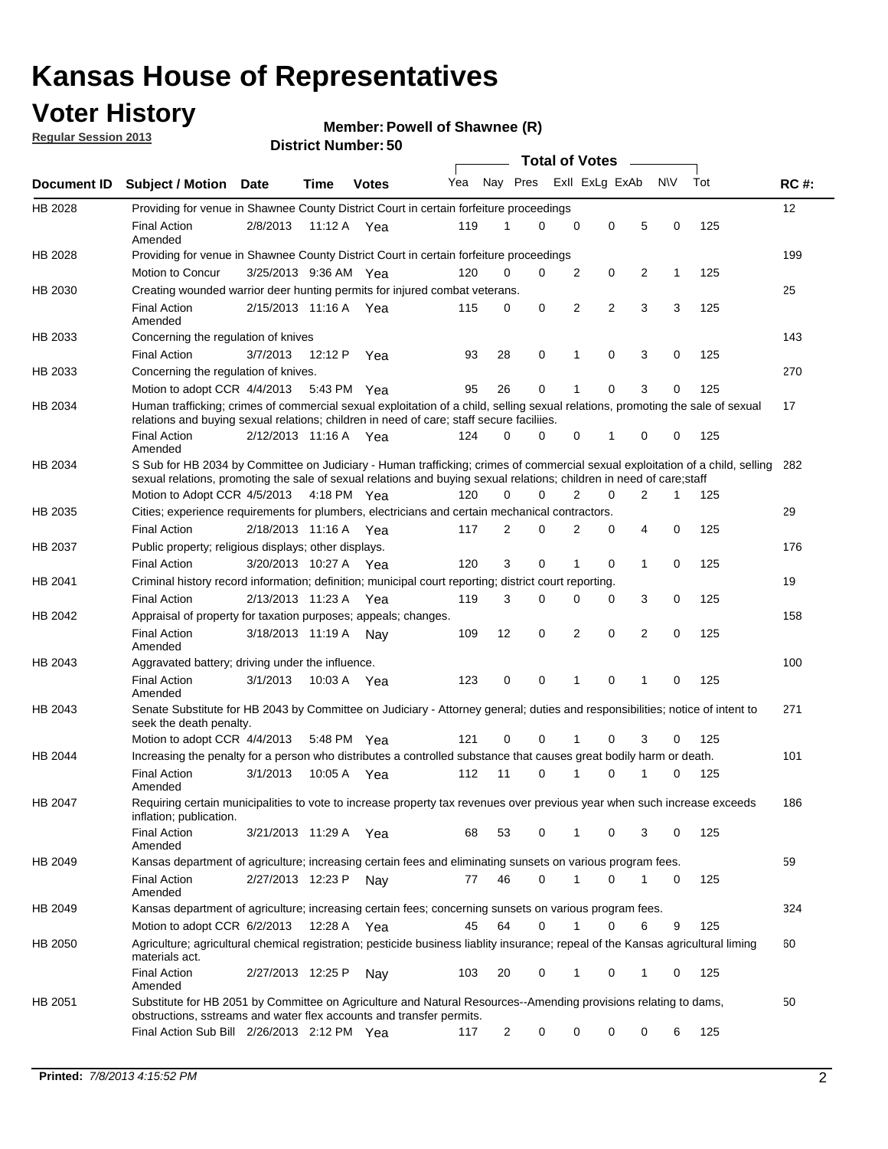### **Voter History**

**Member: Powell of Shawnee (R)** 

**Regular Session 2013**

|                |                                                                                                                                                                                                                                                        |                       |             |              |     |                         | <b>Total of Votes</b> |   |             |                |           |     |             |
|----------------|--------------------------------------------------------------------------------------------------------------------------------------------------------------------------------------------------------------------------------------------------------|-----------------------|-------------|--------------|-----|-------------------------|-----------------------|---|-------------|----------------|-----------|-----|-------------|
| Document ID    | <b>Subject / Motion</b>                                                                                                                                                                                                                                | Date                  | Time        | <b>Votes</b> | Yea | Nay Pres Exll ExLg ExAb |                       |   |             |                | <b>NV</b> | Tot | <b>RC#:</b> |
| HB 2028        | Providing for venue in Shawnee County District Court in certain forfeiture proceedings                                                                                                                                                                 |                       |             |              |     |                         |                       |   |             |                |           |     | 12          |
|                | <b>Final Action</b><br>Amended                                                                                                                                                                                                                         | 2/8/2013              | 11:12 A Yea |              | 119 | 1                       | $\Omega$              | 0 | 0           | 5              | 0         | 125 |             |
| HB 2028        | Providing for venue in Shawnee County District Court in certain forfeiture proceedings                                                                                                                                                                 |                       |             |              |     |                         |                       |   |             |                |           |     | 199         |
|                | Motion to Concur                                                                                                                                                                                                                                       | 3/25/2013 9:36 AM Yea |             |              | 120 | 0                       | 0                     | 2 | 0           | 2              | 1         | 125 |             |
| HB 2030        | Creating wounded warrior deer hunting permits for injured combat veterans.                                                                                                                                                                             |                       |             |              |     |                         |                       |   |             |                |           |     | 25          |
|                | <b>Final Action</b><br>Amended                                                                                                                                                                                                                         | 2/15/2013 11:16 A     |             | Yea          | 115 | 0                       | 0                     | 2 | 2           | 3              | 3         | 125 |             |
| HB 2033        | Concerning the regulation of knives                                                                                                                                                                                                                    |                       |             |              |     |                         |                       |   |             |                |           |     | 143         |
|                | <b>Final Action</b>                                                                                                                                                                                                                                    | 3/7/2013              | 12:12 P     | Yea          | 93  | 28                      | 0                     | 1 | 0           | 3              | 0         | 125 |             |
| HB 2033        | Concerning the regulation of knives.                                                                                                                                                                                                                   |                       |             |              |     |                         |                       |   |             |                |           |     | 270         |
|                | Motion to adopt CCR 4/4/2013                                                                                                                                                                                                                           |                       | 5:43 PM Yea |              | 95  | 26                      | 0                     |   | 0           | 3              | 0         | 125 |             |
| HB 2034        | Human trafficking; crimes of commercial sexual exploitation of a child, selling sexual relations, promoting the sale of sexual<br>relations and buying sexual relations; children in need of care; staff secure faciliies.                             |                       |             |              |     |                         |                       |   |             |                |           |     | 17          |
|                | <b>Final Action</b><br>Amended                                                                                                                                                                                                                         | 2/12/2013 11:16 A Yea |             |              | 124 | 0                       | 0                     | 0 | 1           | 0              | 0         | 125 |             |
| HB 2034        | S Sub for HB 2034 by Committee on Judiciary - Human trafficking; crimes of commercial sexual exploitation of a child, selling<br>sexual relations, promoting the sale of sexual relations and buying sexual relations; children in need of care; staff |                       |             |              |     |                         |                       |   |             |                |           |     | 282         |
|                | Motion to Adopt CCR 4/5/2013 4:18 PM Yea                                                                                                                                                                                                               |                       |             |              | 120 | 0                       | 0                     | 2 | $\mathbf 0$ | $\overline{2}$ | 1         | 125 |             |
| HB 2035        | Cities; experience requirements for plumbers, electricians and certain mechanical contractors.                                                                                                                                                         |                       |             |              |     |                         |                       |   |             |                |           |     | 29          |
|                | <b>Final Action</b>                                                                                                                                                                                                                                    | 2/18/2013 11:16 A     |             | Yea          | 117 | 2                       | 0                     | 2 | 0           | 4              | 0         | 125 |             |
| HB 2037        | Public property; religious displays; other displays.                                                                                                                                                                                                   |                       |             |              |     |                         |                       |   |             |                |           |     | 176         |
|                | <b>Final Action</b>                                                                                                                                                                                                                                    | 3/20/2013 10:27 A Yea |             |              | 120 | 3                       | 0                     | 1 | 0           | 1              | 0         | 125 |             |
| HB 2041        | Criminal history record information; definition; municipal court reporting; district court reporting.                                                                                                                                                  |                       |             |              |     |                         |                       |   |             |                |           |     | 19          |
|                | <b>Final Action</b>                                                                                                                                                                                                                                    | 2/13/2013 11:23 A     |             | Yea          | 119 | 3                       | 0                     | 0 | 0           | 3              | 0         | 125 |             |
| HB 2042        | Appraisal of property for taxation purposes; appeals; changes.                                                                                                                                                                                         |                       |             |              |     |                         |                       |   |             |                |           |     | 158         |
|                | <b>Final Action</b><br>Amended                                                                                                                                                                                                                         | 3/18/2013 11:19 A     |             | Nav          | 109 | 12                      | 0                     | 2 | 0           | 2              | 0         | 125 |             |
| HB 2043        | Aggravated battery; driving under the influence.                                                                                                                                                                                                       |                       |             |              |     |                         |                       |   |             |                |           |     | 100         |
|                | <b>Final Action</b><br>Amended                                                                                                                                                                                                                         | 3/1/2013              | 10:03 A Yea |              | 123 | 0                       | 0                     | 1 | 0           | 1              | 0         | 125 |             |
| HB 2043        | Senate Substitute for HB 2043 by Committee on Judiciary - Attorney general; duties and responsibilities; notice of intent to<br>seek the death penalty.                                                                                                |                       |             |              |     |                         |                       |   |             |                |           |     | 271         |
|                | Motion to adopt CCR 4/4/2013                                                                                                                                                                                                                           |                       | 5:48 PM Yea |              | 121 | 0                       | 0                     |   | 0           | 3              | 0         | 125 |             |
| <b>HB 2044</b> | Increasing the penalty for a person who distributes a controlled substance that causes great bodily harm or death.                                                                                                                                     |                       |             |              |     |                         |                       |   |             |                |           |     | 101         |
|                | <b>Final Action</b><br>Amended                                                                                                                                                                                                                         | 3/1/2013              | 10:05 A     | Yea          | 112 | 11                      | $\Omega$              | 1 | 0           | 1              | 0         | 125 |             |
| HB 2047        | Requiring certain municipalities to vote to increase property tax revenues over previous year when such increase exceeds<br>inflation; publication.                                                                                                    |                       |             |              |     |                         |                       |   |             |                |           |     | 186         |
|                | <b>Final Action</b><br>Amended                                                                                                                                                                                                                         | 3/21/2013 11:29 A Yea |             |              | 68  | 53                      | 0                     |   | 0           | 3              | 0         | 125 |             |
| HB 2049        | Kansas department of agriculture; increasing certain fees and eliminating sunsets on various program fees.                                                                                                                                             |                       |             |              |     |                         |                       |   |             |                |           |     | 59          |
|                | <b>Final Action</b><br>Amended                                                                                                                                                                                                                         | 2/27/2013 12:23 P     |             | Nay          | 77  | 46                      | 0                     |   | 0           | 1              | 0         | 125 |             |
| HB 2049        | Kansas department of agriculture; increasing certain fees; concerning sunsets on various program fees.                                                                                                                                                 |                       |             |              |     |                         |                       |   |             |                |           |     | 324         |
|                | Motion to adopt CCR 6/2/2013                                                                                                                                                                                                                           |                       | 12:28 A     | Yea          | 45  | 64                      | 0                     | 1 | 0           | 6              | 9         | 125 |             |
| HB 2050        | Agriculture; agricultural chemical registration; pesticide business liablity insurance; repeal of the Kansas agricultural liming<br>materials act.                                                                                                     |                       |             |              |     |                         |                       |   |             |                |           |     | 60          |
|                | <b>Final Action</b><br>Amended                                                                                                                                                                                                                         | 2/27/2013 12:25 P     |             | Nay          | 103 | 20                      | 0                     | 1 | 0           | 1              | 0         | 125 |             |
| HB 2051        | Substitute for HB 2051 by Committee on Agriculture and Natural Resources--Amending provisions relating to dams,<br>obstructions, sstreams and water flex accounts and transfer permits.                                                                |                       |             |              |     |                         |                       |   |             |                |           |     | 50          |
|                | Final Action Sub Bill 2/26/2013 2:12 PM Yea                                                                                                                                                                                                            |                       |             |              | 117 | 2                       | 0                     | 0 | 0           | 0              | 6         | 125 |             |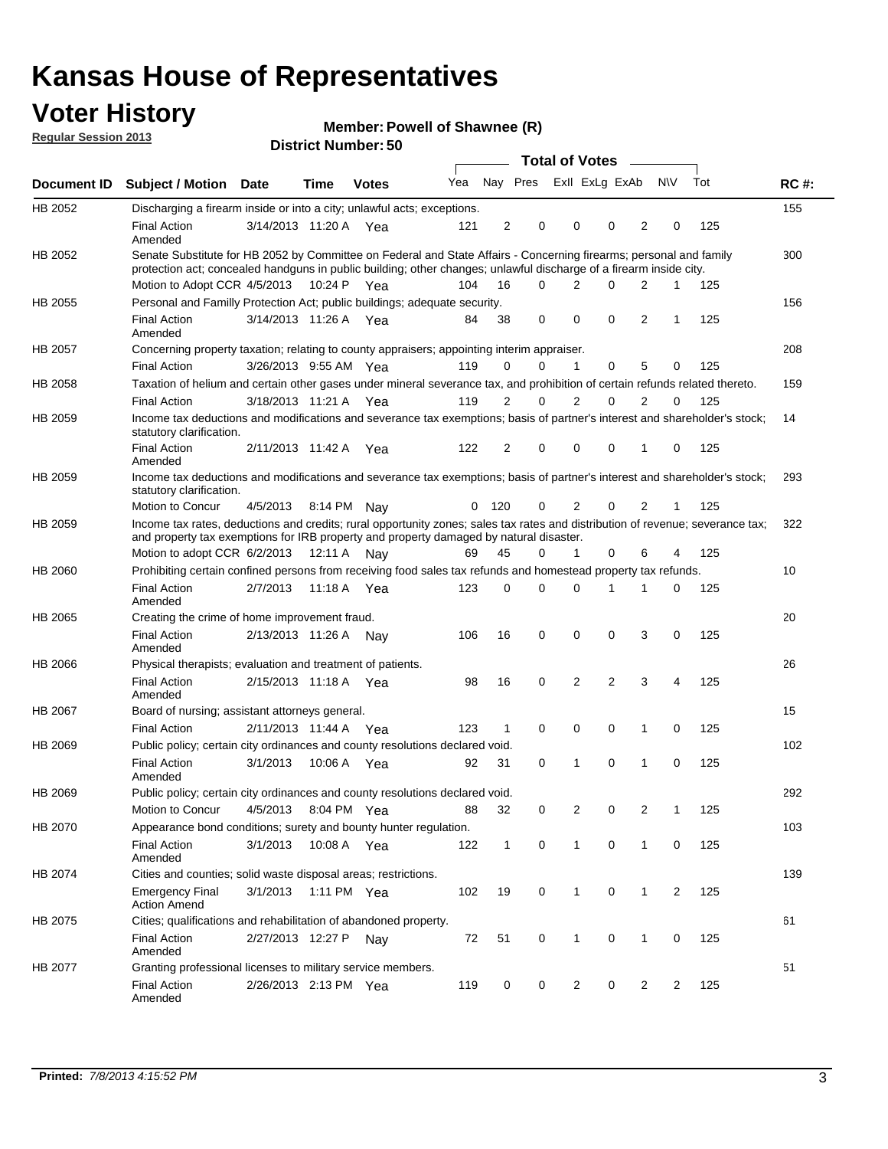### **Voter History**

**Member: Powell of Shawnee (R)** 

**Regular Session 2013**

| Yea<br>Document ID<br><b>Subject / Motion Date</b><br>Time<br><b>Votes</b><br>HB 2052<br>Discharging a firearm inside or into a city; unlawful acts; exceptions.<br><b>Final Action</b><br>3/14/2013 11:20 A Yea<br>121<br>Amended<br>Senate Substitute for HB 2052 by Committee on Federal and State Affairs - Concerning firearms; personal and family<br>HB 2052<br>protection act; concealed handguns in public building; other changes; unlawful discharge of a firearm inside city.<br>Motion to Adopt CCR 4/5/2013<br>10:24 P Yea<br>104<br>Personal and Familly Protection Act; public buildings; adequate security.<br>HB 2055 | 2<br>16<br>38<br>0<br>2 | 0<br>$\Omega$<br>0<br>0<br>0 | Total of Votes –<br>Nay Pres Exll ExLg ExAb<br>$\Omega$<br>2<br>$\mathbf 0$<br>$\mathbf 1$<br>2 | $\Omega$<br>0<br>0<br>0<br>0 | 2<br>2<br>2<br>5 | <b>NV</b><br>0<br>$\mathbf 1$<br>1<br>0 | Tot<br>125<br>125<br>125 | <b>RC#:</b><br>155<br>300<br>156<br>208 |
|-----------------------------------------------------------------------------------------------------------------------------------------------------------------------------------------------------------------------------------------------------------------------------------------------------------------------------------------------------------------------------------------------------------------------------------------------------------------------------------------------------------------------------------------------------------------------------------------------------------------------------------------|-------------------------|------------------------------|-------------------------------------------------------------------------------------------------|------------------------------|------------------|-----------------------------------------|--------------------------|-----------------------------------------|
|                                                                                                                                                                                                                                                                                                                                                                                                                                                                                                                                                                                                                                         |                         |                              |                                                                                                 |                              |                  |                                         |                          |                                         |
|                                                                                                                                                                                                                                                                                                                                                                                                                                                                                                                                                                                                                                         |                         |                              |                                                                                                 |                              |                  |                                         |                          |                                         |
|                                                                                                                                                                                                                                                                                                                                                                                                                                                                                                                                                                                                                                         |                         |                              |                                                                                                 |                              |                  |                                         |                          |                                         |
|                                                                                                                                                                                                                                                                                                                                                                                                                                                                                                                                                                                                                                         |                         |                              |                                                                                                 |                              |                  |                                         |                          |                                         |
|                                                                                                                                                                                                                                                                                                                                                                                                                                                                                                                                                                                                                                         |                         |                              |                                                                                                 |                              |                  |                                         |                          |                                         |
|                                                                                                                                                                                                                                                                                                                                                                                                                                                                                                                                                                                                                                         |                         |                              |                                                                                                 |                              |                  |                                         |                          |                                         |
| 3/14/2013 11:26 A<br><b>Final Action</b><br>84<br>Yea<br>Amended                                                                                                                                                                                                                                                                                                                                                                                                                                                                                                                                                                        |                         |                              |                                                                                                 |                              |                  |                                         |                          |                                         |
| HB 2057<br>Concerning property taxation; relating to county appraisers; appointing interim appraiser.                                                                                                                                                                                                                                                                                                                                                                                                                                                                                                                                   |                         |                              |                                                                                                 |                              |                  |                                         |                          |                                         |
| <b>Final Action</b><br>3/26/2013 9:55 AM Yea<br>119                                                                                                                                                                                                                                                                                                                                                                                                                                                                                                                                                                                     |                         |                              |                                                                                                 |                              |                  |                                         | 125                      |                                         |
| Taxation of helium and certain other gases under mineral severance tax, and prohibition of certain refunds related thereto.<br>HB 2058                                                                                                                                                                                                                                                                                                                                                                                                                                                                                                  |                         |                              |                                                                                                 |                              |                  |                                         |                          | 159                                     |
| <b>Final Action</b><br>3/18/2013 11:21 A Yea<br>119                                                                                                                                                                                                                                                                                                                                                                                                                                                                                                                                                                                     |                         |                              |                                                                                                 |                              | 2                | $\Omega$                                | 125                      |                                         |
| Income tax deductions and modifications and severance tax exemptions; basis of partner's interest and shareholder's stock;<br>HB 2059<br>statutory clarification.                                                                                                                                                                                                                                                                                                                                                                                                                                                                       |                         |                              |                                                                                                 |                              |                  |                                         |                          | 14                                      |
| <b>Final Action</b><br>2/11/2013 11:42 A<br>122<br>Yea<br>Amended                                                                                                                                                                                                                                                                                                                                                                                                                                                                                                                                                                       | 2                       | 0                            | 0                                                                                               | 0                            | 1                | 0                                       | 125                      |                                         |
| HB 2059<br>Income tax deductions and modifications and severance tax exemptions; basis of partner's interest and shareholder's stock;<br>statutory clarification.                                                                                                                                                                                                                                                                                                                                                                                                                                                                       |                         |                              |                                                                                                 |                              |                  |                                         |                          | 293                                     |
| Motion to Concur<br>4/5/2013<br>8:14 PM<br>0<br>Nav                                                                                                                                                                                                                                                                                                                                                                                                                                                                                                                                                                                     | 120                     | 0                            | 2                                                                                               | 0                            | 2                | 1                                       | 125                      |                                         |
| Income tax rates, deductions and credits; rural opportunity zones; sales tax rates and distribution of revenue; severance tax;<br>HB 2059<br>and property tax exemptions for IRB property and property damaged by natural disaster.                                                                                                                                                                                                                                                                                                                                                                                                     |                         |                              |                                                                                                 |                              |                  |                                         |                          | 322                                     |
| Motion to adopt CCR 6/2/2013<br>12:11 A<br>69<br>Nav                                                                                                                                                                                                                                                                                                                                                                                                                                                                                                                                                                                    | 45                      | 0                            | 1                                                                                               | 0                            | 6                | 4                                       | 125                      |                                         |
| Prohibiting certain confined persons from receiving food sales tax refunds and homestead property tax refunds.<br>HB 2060                                                                                                                                                                                                                                                                                                                                                                                                                                                                                                               |                         |                              |                                                                                                 |                              |                  |                                         |                          | 10                                      |
| <b>Final Action</b><br>2/7/2013<br>11:18 A<br>123<br>Yea<br>Amended                                                                                                                                                                                                                                                                                                                                                                                                                                                                                                                                                                     | 0                       | 0                            | $\Omega$                                                                                        | 1                            | 1                | 0                                       | 125                      |                                         |
| HB 2065<br>Creating the crime of home improvement fraud.                                                                                                                                                                                                                                                                                                                                                                                                                                                                                                                                                                                |                         |                              |                                                                                                 |                              |                  |                                         |                          | 20                                      |
| <b>Final Action</b><br>2/13/2013 11:26 A Nay<br>106<br>Amended                                                                                                                                                                                                                                                                                                                                                                                                                                                                                                                                                                          | 16                      | 0                            | $\mathbf 0$                                                                                     | 0                            | 3                | 0                                       | 125                      |                                         |
| HB 2066<br>Physical therapists; evaluation and treatment of patients.                                                                                                                                                                                                                                                                                                                                                                                                                                                                                                                                                                   |                         |                              |                                                                                                 |                              |                  |                                         |                          | 26                                      |
| <b>Final Action</b><br>2/15/2013 11:18 A Yea<br>98<br>Amended                                                                                                                                                                                                                                                                                                                                                                                                                                                                                                                                                                           | 16                      | 0                            | 2                                                                                               | $\overline{2}$               | 3                | 4                                       | 125                      |                                         |
| HB 2067<br>Board of nursing; assistant attorneys general.                                                                                                                                                                                                                                                                                                                                                                                                                                                                                                                                                                               |                         |                              |                                                                                                 |                              |                  |                                         |                          | 15                                      |
| <b>Final Action</b><br>2/11/2013 11:44 A Yea<br>123                                                                                                                                                                                                                                                                                                                                                                                                                                                                                                                                                                                     | 1                       | $\mathbf 0$                  | 0                                                                                               | 0                            | 1                | 0                                       | 125                      |                                         |
| Public policy; certain city ordinances and county resolutions declared void.<br>HB 2069                                                                                                                                                                                                                                                                                                                                                                                                                                                                                                                                                 |                         |                              |                                                                                                 |                              |                  |                                         |                          | 102                                     |
| <b>Final Action</b><br>3/1/2013<br>10:06 A<br>92<br>Yea<br>Amended                                                                                                                                                                                                                                                                                                                                                                                                                                                                                                                                                                      | 31                      | 0                            | 1                                                                                               | 0                            | 1                | 0                                       | 125                      |                                         |
| HB 2069<br>Public policy; certain city ordinances and county resolutions declared void.                                                                                                                                                                                                                                                                                                                                                                                                                                                                                                                                                 |                         |                              |                                                                                                 |                              |                  |                                         |                          | 292                                     |
| Motion to Concur<br>4/5/2013<br>8:04 PM Yea<br>88                                                                                                                                                                                                                                                                                                                                                                                                                                                                                                                                                                                       | 32                      | 0                            | 2                                                                                               | 0                            | 2                | 1                                       | 125                      |                                         |
| HB 2070<br>Appearance bond conditions; surety and bounty hunter regulation.                                                                                                                                                                                                                                                                                                                                                                                                                                                                                                                                                             |                         |                              |                                                                                                 |                              |                  |                                         |                          | 103                                     |
| <b>Final Action</b><br>3/1/2013<br>10:08 A Yea<br>122<br>Amended                                                                                                                                                                                                                                                                                                                                                                                                                                                                                                                                                                        | $\mathbf{1}$            | 0                            | $\mathbf{1}$                                                                                    | $\mathbf 0$                  | 1                | 0                                       | 125                      |                                         |
| HB 2074<br>Cities and counties; solid waste disposal areas; restrictions.                                                                                                                                                                                                                                                                                                                                                                                                                                                                                                                                                               |                         |                              |                                                                                                 |                              |                  |                                         |                          | 139                                     |
| <b>Emergency Final</b><br>3/1/2013<br>1:11 PM Yea<br>102<br><b>Action Amend</b>                                                                                                                                                                                                                                                                                                                                                                                                                                                                                                                                                         | 19                      | 0                            | $\mathbf{1}$                                                                                    | 0                            | 1                | $\overline{2}$                          | 125                      |                                         |
| Cities; qualifications and rehabilitation of abandoned property.<br>HB 2075                                                                                                                                                                                                                                                                                                                                                                                                                                                                                                                                                             |                         |                              |                                                                                                 |                              |                  |                                         |                          | 61                                      |
| <b>Final Action</b><br>2/27/2013 12:27 P<br>72<br>Nav<br>Amended                                                                                                                                                                                                                                                                                                                                                                                                                                                                                                                                                                        | 51                      | 0                            | 1                                                                                               | 0                            | 1                | 0                                       | 125                      |                                         |
| HB 2077<br>Granting professional licenses to military service members.<br><b>Final Action</b><br>2/26/2013 2:13 PM Yea<br>119<br>Amended                                                                                                                                                                                                                                                                                                                                                                                                                                                                                                | 0                       | 0                            | 2                                                                                               | 0                            | $\overline{2}$   | 2                                       | 125                      | 51                                      |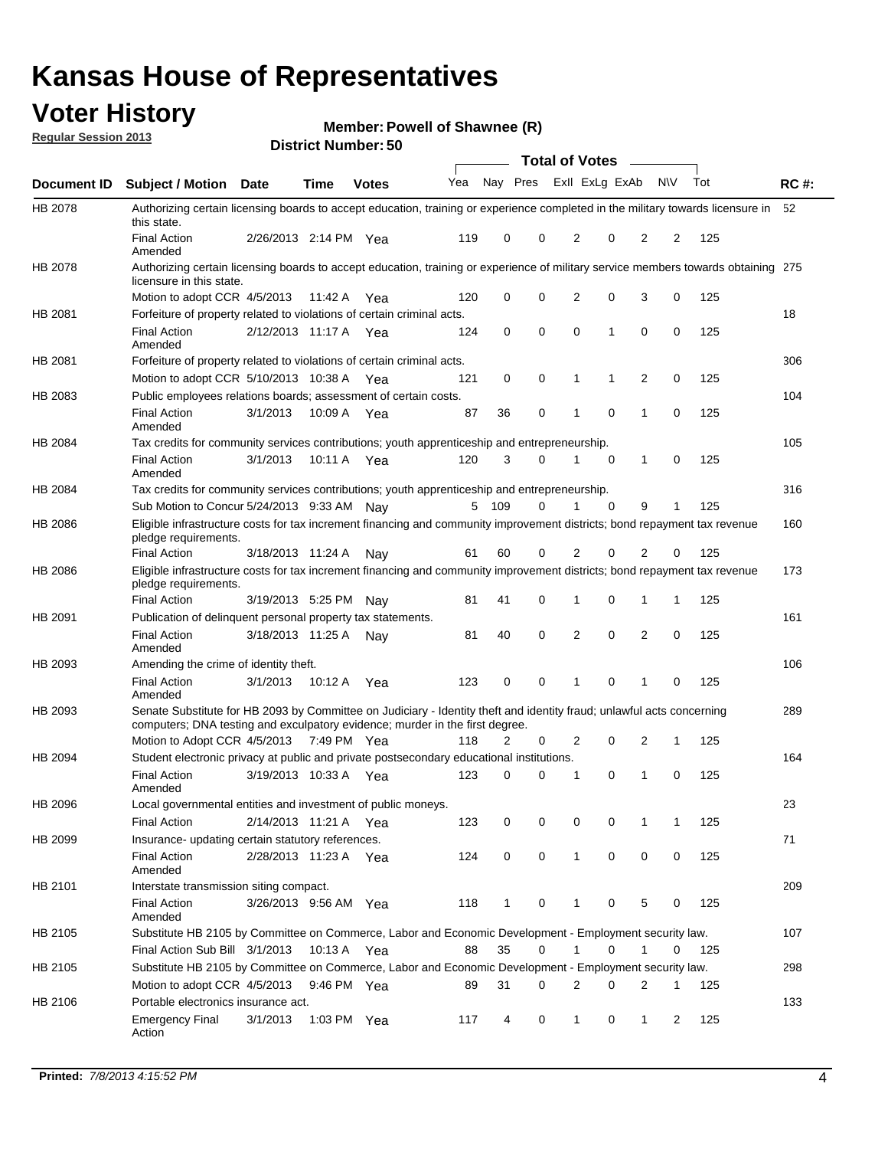### **Voter History**

**Member: Powell of Shawnee (R)** 

**Regular Session 2013**

|             |                                                                                                                                                                                                       |                       |             | טט. וסמוווטנו ועוווסו |     |              |             | <b>Total of Votes</b> |             | $\sim$         |           |     |             |
|-------------|-------------------------------------------------------------------------------------------------------------------------------------------------------------------------------------------------------|-----------------------|-------------|-----------------------|-----|--------------|-------------|-----------------------|-------------|----------------|-----------|-----|-------------|
| Document ID | <b>Subject / Motion Date</b>                                                                                                                                                                          |                       | <b>Time</b> | <b>Votes</b>          | Yea | Nay Pres     |             | Exll ExLg ExAb        |             |                | <b>NV</b> | Tot | <b>RC#:</b> |
| HB 2078     | Authorizing certain licensing boards to accept education, training or experience completed in the military towards licensure in<br>this state.                                                        |                       |             |                       |     |              |             |                       |             |                |           |     | 52          |
|             | <b>Final Action</b><br>Amended                                                                                                                                                                        | 2/26/2013 2:14 PM Yea |             |                       | 119 | 0            | 0           | 2                     | 0           | 2              | 2         | 125 |             |
| HB 2078     | Authorizing certain licensing boards to accept education, training or experience of military service members towards obtaining 275<br>licensure in this state.                                        |                       |             |                       |     |              |             |                       |             |                |           |     |             |
|             | Motion to adopt CCR 4/5/2013                                                                                                                                                                          |                       | 11:42 A     | Yea                   | 120 | 0            | $\mathbf 0$ | $\overline{2}$        | 0           | 3              | 0         | 125 |             |
| HB 2081     | Forfeiture of property related to violations of certain criminal acts.                                                                                                                                |                       |             |                       |     |              |             |                       |             |                |           |     | 18          |
|             | <b>Final Action</b><br>Amended                                                                                                                                                                        | 2/12/2013 11:17 A Yea |             |                       | 124 | 0            | 0           | $\Omega$              | 1           | 0              | 0         | 125 |             |
| HB 2081     | Forfeiture of property related to violations of certain criminal acts.                                                                                                                                |                       |             |                       |     |              |             |                       |             |                |           |     | 306         |
|             | Motion to adopt CCR 5/10/2013 10:38 A                                                                                                                                                                 |                       |             | Yea                   | 121 | 0            | 0           | 1                     | 1           | 2              | 0         | 125 |             |
| HB 2083     | Public employees relations boards; assessment of certain costs.                                                                                                                                       |                       |             |                       |     |              |             |                       |             |                |           |     | 104         |
|             | <b>Final Action</b><br>Amended                                                                                                                                                                        | 3/1/2013              | 10:09 A     | Yea                   | 87  | 36           | 0           | 1                     | 0           | 1              | 0         | 125 |             |
| HB 2084     | Tax credits for community services contributions; youth apprenticeship and entrepreneurship.                                                                                                          |                       |             |                       |     |              |             |                       |             |                |           |     | 105         |
|             | <b>Final Action</b><br>Amended                                                                                                                                                                        | 3/1/2013              | 10:11 A     | Yea                   | 120 | 3            | $\Omega$    |                       | $\mathbf 0$ | $\mathbf{1}$   | 0         | 125 |             |
| HB 2084     | Tax credits for community services contributions; youth apprenticeship and entrepreneurship.                                                                                                          |                       |             |                       |     |              |             |                       |             |                |           |     | 316         |
|             | Sub Motion to Concur 5/24/2013 9:33 AM Nav                                                                                                                                                            |                       |             |                       | 5   | - 109        | $\Omega$    | 1                     | $\Omega$    | 9              | 1         | 125 |             |
| HB 2086     | Eligible infrastructure costs for tax increment financing and community improvement districts; bond repayment tax revenue<br>pledge requirements.                                                     |                       |             |                       |     |              |             |                       |             |                |           |     | 160         |
|             | <b>Final Action</b>                                                                                                                                                                                   | 3/18/2013 11:24 A     |             | Nay                   | 61  | 60           | 0           | 2                     | 0           | 2              | 0         | 125 |             |
| HB 2086     | Eligible infrastructure costs for tax increment financing and community improvement districts; bond repayment tax revenue<br>pledge requirements.                                                     |                       |             |                       |     |              |             |                       |             |                |           |     | 173         |
|             | <b>Final Action</b>                                                                                                                                                                                   | 3/19/2013 5:25 PM     |             | Nay                   | 81  | 41           | 0           | 1                     | 0           | 1              | 1         | 125 |             |
| HB 2091     | Publication of delinquent personal property tax statements.                                                                                                                                           |                       |             |                       |     |              |             |                       |             |                |           |     | 161         |
|             | <b>Final Action</b><br>Amended                                                                                                                                                                        | 3/18/2013 11:25 A     |             | Nav                   | 81  | 40           | 0           | 2                     | 0           | $\overline{2}$ | 0         | 125 |             |
| HB 2093     | Amending the crime of identity theft.                                                                                                                                                                 |                       |             |                       |     |              |             |                       |             |                |           |     | 106         |
|             | <b>Final Action</b><br>Amended                                                                                                                                                                        | 3/1/2013              | 10:12 A     | Yea                   | 123 | 0            | $\Omega$    | 1                     | 0           | 1              | 0         | 125 |             |
| HB 2093     | Senate Substitute for HB 2093 by Committee on Judiciary - Identity theft and identity fraud; unlawful acts concerning<br>computers; DNA testing and exculpatory evidence; murder in the first degree. |                       |             |                       |     |              |             |                       |             |                |           |     | 289         |
|             | Motion to Adopt CCR 4/5/2013 7:49 PM Yea                                                                                                                                                              |                       |             |                       | 118 | 2            | 0           | 2                     | 0           | 2              | 1         | 125 |             |
| HB 2094     | Student electronic privacy at public and private postsecondary educational institutions.                                                                                                              |                       |             |                       |     |              |             |                       |             |                |           |     | 164         |
|             | <b>Final Action</b><br>Amended                                                                                                                                                                        | 3/19/2013 10:33 A     |             | Yea                   | 123 | 0            | 0           | 1                     | 0           | 1              | 0         | 125 |             |
| HB 2096     | Local governmental entities and investment of public moneys.                                                                                                                                          |                       |             |                       |     |              |             |                       |             |                |           |     | 23          |
|             | <b>Final Action</b>                                                                                                                                                                                   | 2/14/2013 11:21 A     |             | Yea                   | 123 | 0            | 0           | 0                     | 0           | 1              | 1         | 125 |             |
| HB 2099     | Insurance- updating certain statutory references.                                                                                                                                                     |                       |             |                       |     |              |             |                       |             |                |           |     | 71          |
|             | <b>Final Action</b><br>Amended                                                                                                                                                                        | 2/28/2013 11:23 A     |             | Yea                   | 124 | 0            | 0           | 1                     | 0           | 0              | 0         | 125 |             |
| HB 2101     | Interstate transmission siting compact.                                                                                                                                                               |                       |             |                       |     |              |             |                       |             |                |           |     | 209         |
|             | <b>Final Action</b><br>Amended                                                                                                                                                                        | 3/26/2013 9:56 AM Yea |             |                       | 118 | $\mathbf{1}$ | 0           | 1                     | 0           | 5              | 0         | 125 |             |
| HB 2105     | Substitute HB 2105 by Committee on Commerce, Labor and Economic Development - Employment security law.                                                                                                |                       |             |                       |     |              |             |                       |             |                |           |     | 107         |
|             | Final Action Sub Bill 3/1/2013                                                                                                                                                                        |                       | 10:13 A Yea |                       | 88  | 35           | 0           |                       | 0           | 1              | 0         | 125 |             |
| HB 2105     | Substitute HB 2105 by Committee on Commerce, Labor and Economic Development - Employment security law.                                                                                                |                       |             |                       |     |              |             |                       |             |                |           |     | 298         |
|             | Motion to adopt CCR 4/5/2013                                                                                                                                                                          |                       | 9:46 PM Yea |                       | 89  | 31           | 0           | 2                     | 0           | 2              | 1         | 125 |             |
| HB 2106     | Portable electronics insurance act.                                                                                                                                                                   |                       |             |                       |     |              |             |                       |             |                |           |     | 133         |
|             | <b>Emergency Final</b><br>Action                                                                                                                                                                      | 3/1/2013              | 1:03 PM Yea |                       | 117 | 4            | 0           | $\mathbf{1}$          | 0           | $\mathbf{1}$   | 2         | 125 |             |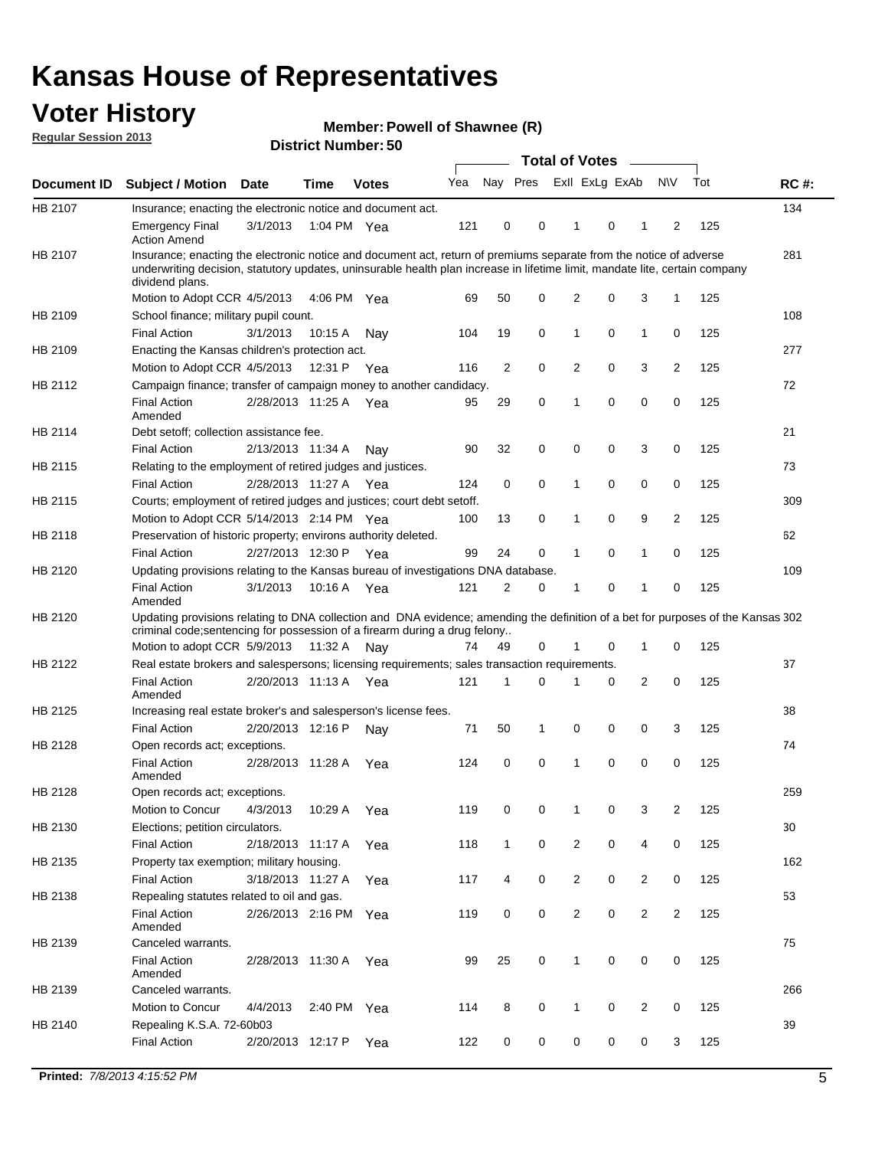### **Voter History**

**Member: Powell of Shawnee (R)** 

**Regular Session 2013**

|             |                                                                                                                                                                                                                                                                      |                       | PIJU IVI INUHIDGI . JU |              |     |              | <b>Total of Votes</b> |                |   | $\overline{\phantom{a}}$ |                |     |             |
|-------------|----------------------------------------------------------------------------------------------------------------------------------------------------------------------------------------------------------------------------------------------------------------------|-----------------------|------------------------|--------------|-----|--------------|-----------------------|----------------|---|--------------------------|----------------|-----|-------------|
| Document ID | <b>Subject / Motion</b>                                                                                                                                                                                                                                              | <b>Date</b>           | <b>Time</b>            | <b>Votes</b> | Yea | Nay Pres     |                       | Exll ExLg ExAb |   |                          | <b>NV</b>      | Tot | <b>RC#:</b> |
| HB 2107     | Insurance; enacting the electronic notice and document act.                                                                                                                                                                                                          |                       |                        |              |     |              |                       |                |   |                          |                |     | 134         |
|             | <b>Emergency Final</b><br><b>Action Amend</b>                                                                                                                                                                                                                        | 3/1/2013              | 1:04 PM Yea            |              | 121 | 0            | 0                     | 1              | 0 | 1                        | 2              | 125 |             |
| HB 2107     | Insurance; enacting the electronic notice and document act, return of premiums separate from the notice of adverse<br>underwriting decision, statutory updates, uninsurable health plan increase in lifetime limit, mandate lite, certain company<br>dividend plans. |                       |                        |              |     |              |                       |                |   |                          |                |     | 281         |
|             | Motion to Adopt CCR 4/5/2013                                                                                                                                                                                                                                         |                       | 4:06 PM Yea            |              | 69  | 50           | 0                     | 2              | 0 | 3                        | $\mathbf{1}$   | 125 |             |
| HB 2109     | School finance; military pupil count.                                                                                                                                                                                                                                |                       |                        |              |     |              |                       |                |   |                          |                |     | 108         |
|             | <b>Final Action</b>                                                                                                                                                                                                                                                  | 3/1/2013              | 10:15A                 | Nav          | 104 | 19           | 0                     | 1              | 0 | $\mathbf{1}$             | 0              | 125 |             |
| HB 2109     | Enacting the Kansas children's protection act.                                                                                                                                                                                                                       |                       |                        |              |     |              |                       |                |   |                          |                |     | 277         |
|             | Motion to Adopt CCR 4/5/2013                                                                                                                                                                                                                                         |                       | 12:31 P Yea            |              | 116 | 2            | 0                     | $\overline{2}$ | 0 | 3                        | 2              | 125 |             |
| HB 2112     | Campaign finance; transfer of campaign money to another candidacy.                                                                                                                                                                                                   |                       |                        |              |     |              |                       |                |   |                          |                |     | 72          |
|             | <b>Final Action</b><br>Amended                                                                                                                                                                                                                                       | 2/28/2013 11:25 A Yea |                        |              | 95  | 29           | 0                     | 1              | 0 | 0                        | 0              | 125 |             |
| HB 2114     | Debt setoff: collection assistance fee.                                                                                                                                                                                                                              |                       |                        |              |     |              |                       |                |   |                          |                |     | 21          |
|             | <b>Final Action</b>                                                                                                                                                                                                                                                  | 2/13/2013 11:34 A     |                        | Nay          | 90  | 32           | 0                     | 0              | 0 | 3                        | 0              | 125 |             |
| HB 2115     | Relating to the employment of retired judges and justices.                                                                                                                                                                                                           |                       |                        |              |     |              |                       |                |   |                          |                |     | 73          |
|             | <b>Final Action</b>                                                                                                                                                                                                                                                  | 2/28/2013 11:27 A     |                        | Yea          | 124 | 0            | 0                     | 1              | 0 | 0                        | 0              | 125 |             |
| HB 2115     | Courts; employment of retired judges and justices; court debt setoff.                                                                                                                                                                                                |                       |                        |              |     |              |                       |                |   |                          |                |     | 309         |
|             | Motion to Adopt CCR 5/14/2013 2:14 PM Yea                                                                                                                                                                                                                            |                       |                        |              | 100 | 13           | 0                     | 1              | 0 | 9                        | 2              | 125 |             |
| HB 2118     | Preservation of historic property; environs authority deleted.                                                                                                                                                                                                       |                       |                        |              |     |              |                       |                |   |                          |                |     | 62          |
|             | <b>Final Action</b>                                                                                                                                                                                                                                                  | 2/27/2013 12:30 P     |                        | Yea          | 99  | 24           | 0                     | 1              | 0 | $\mathbf{1}$             | 0              | 125 |             |
| HB 2120     | Updating provisions relating to the Kansas bureau of investigations DNA database.                                                                                                                                                                                    |                       |                        |              |     |              |                       |                |   |                          |                |     | 109         |
|             | <b>Final Action</b><br>Amended                                                                                                                                                                                                                                       | 3/1/2013              | 10:16 A                | Yea          | 121 | 2            | 0                     | 1              | 0 | 1                        | 0              | 125 |             |
| HB 2120     | Updating provisions relating to DNA collection and DNA evidence; amending the definition of a bet for purposes of the Kansas 302<br>criminal code; sentencing for possession of a firearm during a drug felony<br>Motion to adopt CCR 5/9/2013 11:32 A               |                       |                        | Nav          | 74  | 49           | 0                     | 1              | 0 | $\mathbf 1$              | 0              | 125 |             |
| HB 2122     | Real estate brokers and salespersons; licensing requirements; sales transaction requirements.                                                                                                                                                                        |                       |                        |              |     |              |                       |                |   |                          |                |     | 37          |
|             | <b>Final Action</b><br>Amended                                                                                                                                                                                                                                       | 2/20/2013 11:13 A Yea |                        |              | 121 | 1            | 0                     |                | 0 | 2                        | 0              | 125 |             |
| HB 2125     | Increasing real estate broker's and salesperson's license fees.                                                                                                                                                                                                      |                       |                        |              |     |              |                       |                |   |                          |                |     | 38          |
|             | <b>Final Action</b>                                                                                                                                                                                                                                                  | 2/20/2013 12:16 P     |                        | Nay          | 71  | 50           | 1                     | 0              | 0 | 0                        | 3              | 125 |             |
| HB 2128     | Open records act; exceptions.                                                                                                                                                                                                                                        |                       |                        |              |     |              |                       |                |   |                          |                |     | 74          |
|             | <b>Final Action</b><br>Amended                                                                                                                                                                                                                                       | 2/28/2013 11:28 A     |                        | Yea          | 124 | 0            | 0                     | 1              | 0 | 0                        | 0              | 125 |             |
| HB 2128     | Open records act; exceptions.                                                                                                                                                                                                                                        |                       |                        |              |     |              |                       |                |   |                          |                |     | 259         |
|             | Motion to Concur                                                                                                                                                                                                                                                     | 4/3/2013              | 10:29 A                | Yea          | 119 | 0            | 0                     | 1              | 0 | 3                        | 2              | 125 |             |
| HB 2130     | Elections; petition circulators.                                                                                                                                                                                                                                     |                       |                        |              |     |              |                       |                |   |                          |                |     | 30          |
|             | <b>Final Action</b>                                                                                                                                                                                                                                                  | 2/18/2013 11:17 A     |                        | Yea          | 118 | $\mathbf{1}$ | 0                     | $\overline{c}$ | 0 | 4                        | 0              | 125 |             |
| HB 2135     | Property tax exemption; military housing.                                                                                                                                                                                                                            |                       |                        |              |     |              |                       |                |   |                          |                |     | 162         |
|             | <b>Final Action</b>                                                                                                                                                                                                                                                  | 3/18/2013 11:27 A     |                        | Yea          | 117 | 4            | 0                     | $\overline{2}$ | 0 | $\overline{2}$           | 0              | 125 |             |
| HB 2138     | Repealing statutes related to oil and gas.                                                                                                                                                                                                                           |                       |                        |              |     |              |                       |                |   |                          |                |     | 53          |
|             | <b>Final Action</b><br>Amended                                                                                                                                                                                                                                       | 2/26/2013 2:16 PM Yea |                        |              | 119 | 0            | 0                     | $\overline{2}$ | 0 | $\overline{2}$           | $\overline{2}$ | 125 |             |
| HB 2139     | Canceled warrants.                                                                                                                                                                                                                                                   |                       |                        |              |     |              |                       |                |   |                          |                |     | 75          |
|             | <b>Final Action</b><br>Amended                                                                                                                                                                                                                                       | 2/28/2013 11:30 A     |                        | Yea          | 99  | 25           | 0                     | 1              | 0 | 0                        | 0              | 125 |             |
| HB 2139     | Canceled warrants.                                                                                                                                                                                                                                                   |                       |                        |              |     |              |                       |                |   |                          |                |     | 266         |
|             | Motion to Concur                                                                                                                                                                                                                                                     | 4/4/2013              | 2:40 PM Yea            |              | 114 | 8            | 0                     | 1              | 0 | 2                        | 0              | 125 |             |
| HB 2140     | Repealing K.S.A. 72-60b03                                                                                                                                                                                                                                            |                       |                        |              |     |              |                       |                |   |                          |                |     | 39          |
|             | <b>Final Action</b>                                                                                                                                                                                                                                                  | 2/20/2013 12:17 P     |                        | Yea          | 122 | 0            | 0                     | 0              | 0 | 0                        | 3              | 125 |             |
|             |                                                                                                                                                                                                                                                                      |                       |                        |              |     |              |                       |                |   |                          |                |     |             |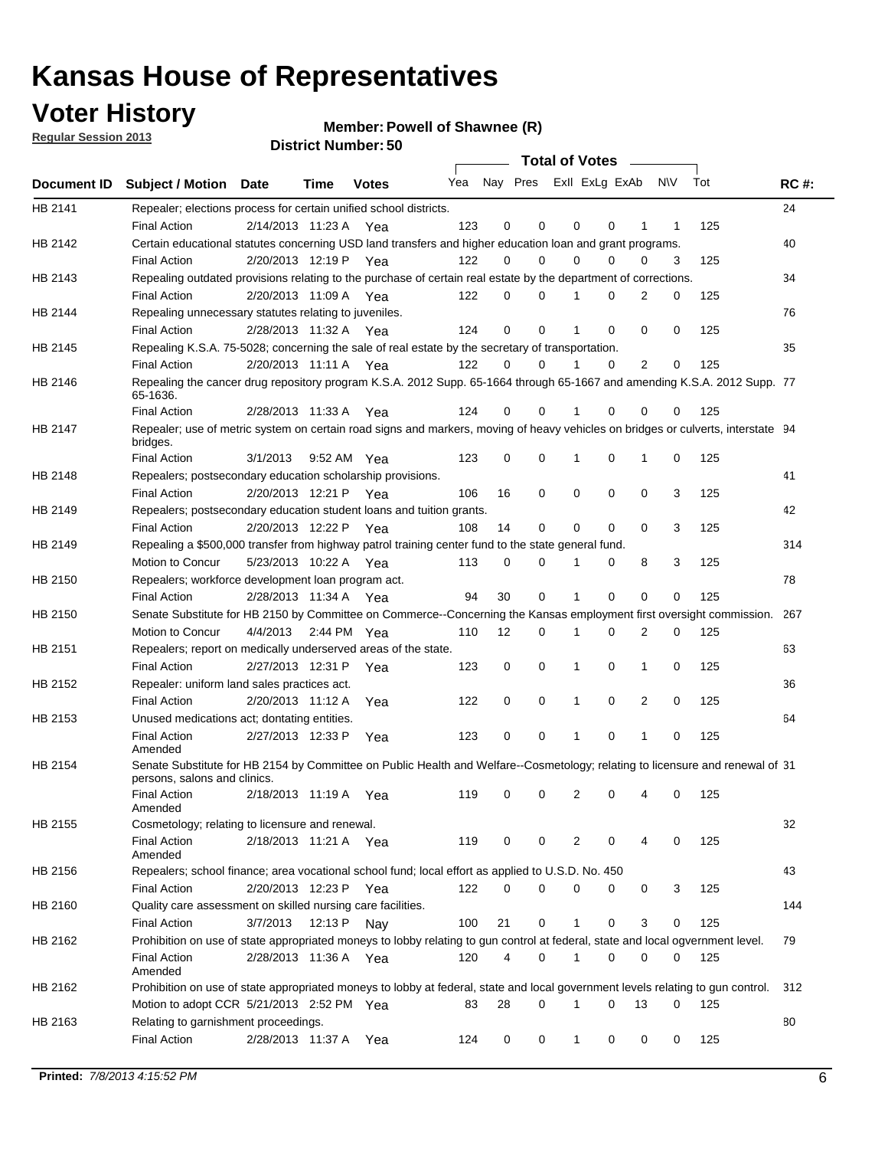### **Voter History**

**Member: Powell of Shawnee (R)** 

**Regular Session 2013**

|                    |                                                                                                                                              |          |                       |              |     |    | <b>Total of Votes</b>   |             |          | $\sim 100$     |     |     |             |
|--------------------|----------------------------------------------------------------------------------------------------------------------------------------------|----------|-----------------------|--------------|-----|----|-------------------------|-------------|----------|----------------|-----|-----|-------------|
| <b>Document ID</b> | <b>Subject / Motion Date</b>                                                                                                                 |          | Time                  | <b>Votes</b> | Yea |    | Nay Pres ExII ExLg ExAb |             |          |                | N\V | Tot | <b>RC#:</b> |
| HB 2141            | Repealer; elections process for certain unified school districts.                                                                            |          |                       |              |     |    |                         |             |          |                |     |     | 24          |
|                    | <b>Final Action</b>                                                                                                                          |          | 2/14/2013 11:23 A     | Yea          | 123 | 0  | 0                       | 0           | 0        | 1              | 1   | 125 |             |
| HB 2142            | Certain educational statutes concerning USD land transfers and higher education loan and grant programs.                                     |          |                       |              |     |    |                         |             |          |                |     |     | 40          |
|                    | <b>Final Action</b>                                                                                                                          |          | 2/20/2013 12:19 P Yea |              | 122 | 0  | 0                       | 0           | $\Omega$ | 0              | 3   | 125 |             |
| HB 2143            | Repealing outdated provisions relating to the purchase of certain real estate by the department of corrections.                              |          |                       |              |     |    |                         |             |          |                |     |     | 34          |
|                    | <b>Final Action</b>                                                                                                                          |          | 2/20/2013 11:09 A Yea |              | 122 | 0  | 0                       | 1           | 0        | $\overline{2}$ | 0   | 125 |             |
| HB 2144            | Repealing unnecessary statutes relating to juveniles.                                                                                        |          |                       |              |     |    |                         |             |          |                |     |     | 76          |
|                    | <b>Final Action</b>                                                                                                                          |          | 2/28/2013 11:32 A Yea |              | 124 | 0  | 0                       | 1           | 0        | 0              | 0   | 125 |             |
| HB 2145            | Repealing K.S.A. 75-5028; concerning the sale of real estate by the secretary of transportation.                                             |          |                       |              |     |    |                         |             |          |                |     |     | 35          |
|                    | <b>Final Action</b>                                                                                                                          |          | 2/20/2013 11:11 A Yea |              | 122 | 0  | 0                       | 1           | 0        | 2              | 0   | 125 |             |
| HB 2146            | Repealing the cancer drug repository program K.S.A. 2012 Supp. 65-1664 through 65-1667 and amending K.S.A. 2012 Supp. 77<br>65-1636.         |          |                       |              |     |    |                         |             |          |                |     |     |             |
|                    | <b>Final Action</b>                                                                                                                          |          | 2/28/2013 11:33 A     | Yea          | 124 | 0  | 0                       | 1           | $\Omega$ | 0              | 0   | 125 |             |
| HB 2147            | Repealer; use of metric system on certain road signs and markers, moving of heavy vehicles on bridges or culverts, interstate 94<br>bridges. |          |                       |              |     |    |                         |             |          |                |     |     |             |
|                    | <b>Final Action</b>                                                                                                                          | 3/1/2013 |                       | 9:52 AM Yea  | 123 | 0  | 0                       |             | 0        | 1              | 0   | 125 |             |
| HB 2148            | Repealers; postsecondary education scholarship provisions.                                                                                   |          |                       |              |     |    |                         |             |          |                |     |     | 41          |
|                    | <b>Final Action</b>                                                                                                                          |          | 2/20/2013 12:21 P     | Yea          | 106 | 16 | $\mathbf 0$             | 0           | 0        | $\mathbf 0$    | 3   | 125 |             |
| HB 2149            | Repealers; postsecondary education student loans and tuition grants.                                                                         |          |                       |              |     |    |                         |             |          |                |     |     | 42          |
|                    | <b>Final Action</b>                                                                                                                          |          | 2/20/2013 12:22 P     | Yea          | 108 | 14 | 0                       | 0           | $\Omega$ | $\Omega$       | 3   | 125 |             |
| HB 2149            | Repealing a \$500,000 transfer from highway patrol training center fund to the state general fund.                                           |          |                       |              |     |    |                         |             |          |                |     |     | 314         |
|                    | Motion to Concur                                                                                                                             |          | 5/23/2013 10:22 A Yea |              | 113 | 0  | 0                       |             | 0        | 8              | 3   | 125 |             |
| HB 2150            | Repealers; workforce development loan program act.                                                                                           |          |                       |              |     |    |                         |             |          |                |     |     | 78          |
|                    | <b>Final Action</b>                                                                                                                          |          | 2/28/2013 11:34 A Yea |              | 94  | 30 | $\mathbf 0$             | 1           | 0        | 0              | 0   | 125 |             |
| HB 2150            | Senate Substitute for HB 2150 by Committee on Commerce--Concerning the Kansas employment first oversight commission.                         |          |                       |              |     |    |                         |             |          |                |     |     | 267         |
|                    | Motion to Concur                                                                                                                             |          | 4/4/2013 2:44 PM Yea  |              | 110 | 12 | 0                       | 1           | 0        | 2              | 0   | 125 |             |
| HB 2151            | Repealers; report on medically underserved areas of the state.                                                                               |          |                       |              |     |    |                         |             |          |                |     |     | 63          |
|                    | <b>Final Action</b>                                                                                                                          |          | 2/27/2013 12:31 P     | Yea          | 123 | 0  | $\mathbf 0$             | 1           | 0        | 1              | 0   | 125 |             |
| HB 2152            | Repealer: uniform land sales practices act.                                                                                                  |          |                       |              |     |    |                         |             |          |                |     |     | 36          |
|                    | <b>Final Action</b>                                                                                                                          |          | 2/20/2013 11:12 A     | Yea          | 122 | 0  | $\mathbf 0$             | 1           | 0        | 2              | 0   | 125 |             |
| HB 2153            | Unused medications act; dontating entities.                                                                                                  |          |                       |              |     |    |                         |             |          |                |     |     | 64          |
|                    | <b>Final Action</b><br>Amended                                                                                                               |          | 2/27/2013 12:33 P     | Yea          | 123 | 0  | 0                       | 1           | 0        | 1              | 0   | 125 |             |
| HB 2154            | Senate Substitute for HB 2154 by Committee on Public Health and Welfare--Cosmetology; relating to licensure and renewal of 31                |          |                       |              |     |    |                         |             |          |                |     |     |             |
|                    | persons, salons and clinics.                                                                                                                 |          |                       |              |     |    |                         |             |          |                |     |     |             |
|                    | <b>Final Action</b><br>Amended                                                                                                               |          | 2/18/2013 11:19 A     | Yea          | 119 | 0  | 0                       | 2           | 0        | 4              | 0   | 125 |             |
| HB 2155            | Cosmetology; relating to licensure and renewal.                                                                                              |          |                       |              |     |    |                         |             |          |                |     |     | 32          |
|                    | <b>Final Action</b>                                                                                                                          |          | 2/18/2013 11:21 A Yea |              | 119 | 0  | 0                       | 2           | 0        |                | 0   | 125 |             |
|                    | Amended                                                                                                                                      |          |                       |              |     |    |                         |             |          |                |     |     |             |
| HB 2156            | Repealers; school finance; area vocational school fund; local effort as applied to U.S.D. No. 450                                            |          |                       |              |     |    |                         |             |          |                |     |     | 43          |
|                    | <b>Final Action</b>                                                                                                                          |          | 2/20/2013 12:23 P     | Yea          | 122 | 0  | 0                       | 0           | 0        | 0              | 3   | 125 |             |
| HB 2160            | Quality care assessment on skilled nursing care facilities.                                                                                  |          |                       |              |     |    |                         |             |          |                |     |     | 144         |
|                    | <b>Final Action</b>                                                                                                                          | 3/7/2013 | 12:13 P               | Nav          | 100 | 21 | 0                       | 1           | 0        | 3              | 0   | 125 |             |
| HB 2162            | Prohibition on use of state appropriated moneys to lobby relating to gun control at federal, state and local ogvernment level.               |          |                       |              |     |    |                         |             |          |                |     |     | 79          |
|                    | <b>Final Action</b><br>Amended                                                                                                               |          | 2/28/2013 11:36 A Yea |              | 120 | 4  | 0                       | $\mathbf 1$ | 0        | 0              | 0   | 125 |             |
| HB 2162            | Prohibition on use of state appropriated moneys to lobby at federal, state and local government levels relating to gun control.              |          |                       |              |     |    |                         |             |          |                |     |     | 312         |
|                    | Motion to adopt CCR 5/21/2013 2:52 PM Yea                                                                                                    |          |                       |              | 83  | 28 | 0                       |             | 0        | 13             | 0   | 125 |             |
| HB 2163            | Relating to garnishment proceedings.                                                                                                         |          |                       |              |     |    |                         |             |          |                |     |     | 80          |
|                    | <b>Final Action</b>                                                                                                                          |          | 2/28/2013 11:37 A     | Yea          | 124 | 0  | 0                       | $\mathbf 1$ | 0        | 0              | 0   | 125 |             |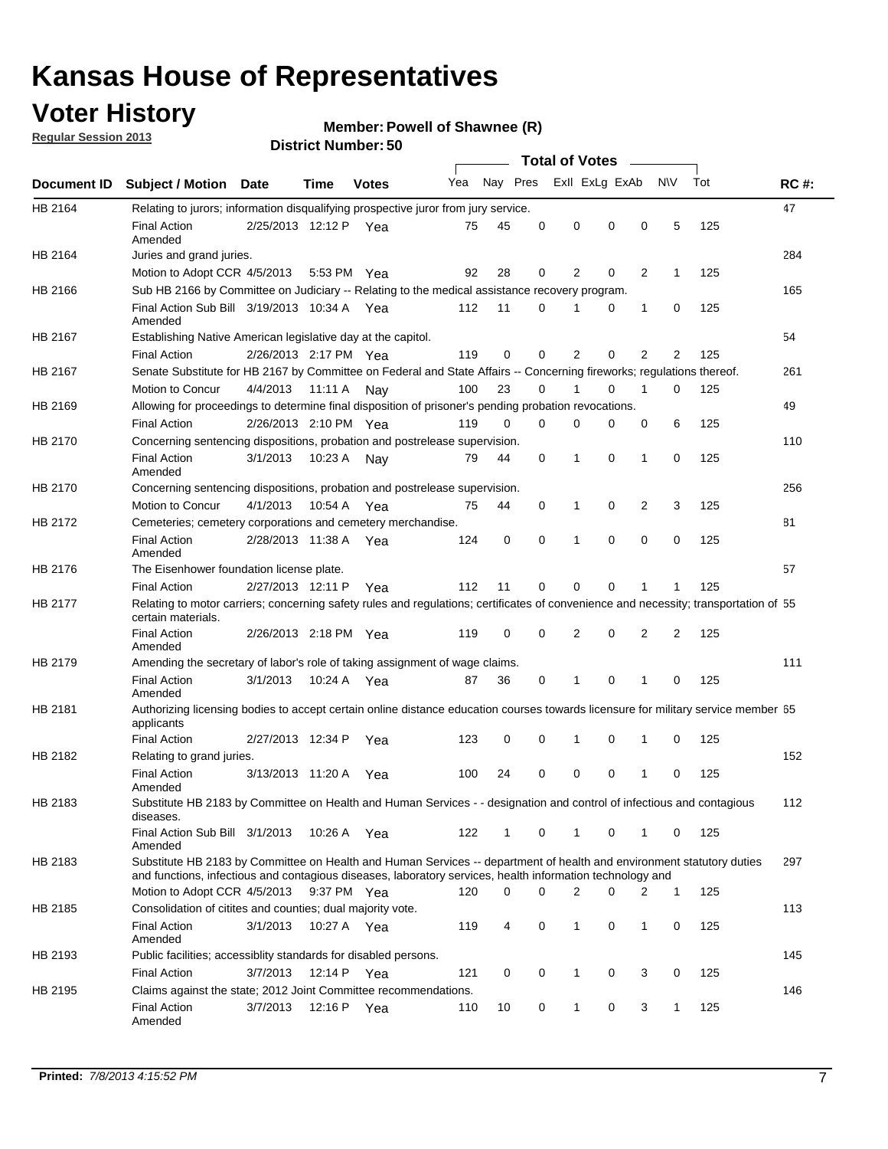### **Voter History**

**Member: Powell of Shawnee (R)** 

**Regular Session 2013**

|             |                                                                                                                                                                                                                                    |                       | טט. וסמוווטנו ועוווסו |              |     |          |          | <b>Total of Votes</b> |          | $\sim$         |                |     |             |
|-------------|------------------------------------------------------------------------------------------------------------------------------------------------------------------------------------------------------------------------------------|-----------------------|-----------------------|--------------|-----|----------|----------|-----------------------|----------|----------------|----------------|-----|-------------|
| Document ID | <b>Subject / Motion Date</b>                                                                                                                                                                                                       |                       | Time                  | <b>Votes</b> | Yea | Nay Pres |          | Exll ExLg ExAb        |          |                | <b>NV</b>      | Tot | <b>RC#:</b> |
| HB 2164     | Relating to jurors; information disqualifying prospective juror from jury service.                                                                                                                                                 |                       |                       |              |     |          |          |                       |          |                |                |     | 47          |
|             | <b>Final Action</b><br>Amended                                                                                                                                                                                                     | 2/25/2013 12:12 P Yea |                       |              | 75  | 45       | 0        | 0                     | 0        | 0              | 5              | 125 |             |
| HB 2164     | Juries and grand juries.                                                                                                                                                                                                           |                       |                       |              |     |          |          |                       |          |                |                |     | 284         |
|             | Motion to Adopt CCR 4/5/2013                                                                                                                                                                                                       |                       | 5:53 PM Yea           |              | 92  | 28       | 0        | 2                     | 0        | $\overline{2}$ | 1              | 125 |             |
| HB 2166     | Sub HB 2166 by Committee on Judiciary -- Relating to the medical assistance recovery program.                                                                                                                                      |                       |                       |              |     |          |          |                       |          |                |                |     | 165         |
|             | Final Action Sub Bill 3/19/2013 10:34 A Yea<br>Amended                                                                                                                                                                             |                       |                       |              | 112 | 11       | $\Omega$ |                       | 0        | 1              | 0              | 125 |             |
| HB 2167     | Establishing Native American legislative day at the capitol.                                                                                                                                                                       |                       |                       |              |     |          |          |                       |          |                |                |     | 54          |
|             | <b>Final Action</b>                                                                                                                                                                                                                | 2/26/2013 2:17 PM Yea |                       |              | 119 | 0        | $\Omega$ | 2                     | 0        | 2              | 2              | 125 |             |
| HB 2167     | Senate Substitute for HB 2167 by Committee on Federal and State Affairs -- Concerning fireworks; regulations thereof.                                                                                                              |                       |                       |              |     |          |          |                       |          |                |                |     | 261         |
|             | Motion to Concur                                                                                                                                                                                                                   | 4/4/2013              | 11:11 A               | Nav          | 100 | 23       | 0        | 1                     | 0        | 1              | 0              | 125 |             |
| HB 2169     | Allowing for proceedings to determine final disposition of prisoner's pending probation revocations.                                                                                                                               |                       |                       |              |     |          |          |                       |          |                |                |     | 49          |
|             | <b>Final Action</b>                                                                                                                                                                                                                | 2/26/2013 2:10 PM Yea |                       |              | 119 | 0        | 0        | 0                     | 0        | 0              | 6              | 125 |             |
| HB 2170     | Concerning sentencing dispositions, probation and postrelease supervision.                                                                                                                                                         |                       |                       |              |     |          |          |                       |          |                |                |     | 110         |
|             | <b>Final Action</b><br>Amended                                                                                                                                                                                                     | 3/1/2013              | 10:23 A               | Nay          | 79  | 44       | 0        | 1                     | 0        | 1              | 0              | 125 |             |
| HB 2170     | Concerning sentencing dispositions, probation and postrelease supervision.                                                                                                                                                         |                       |                       |              |     |          |          |                       |          |                |                |     | 256         |
|             | Motion to Concur                                                                                                                                                                                                                   | 4/1/2013              | 10:54 A Yea           |              | 75  | 44       | 0        | 1                     | 0        | $\overline{2}$ | 3              | 125 |             |
| HB 2172     | Cemeteries; cemetery corporations and cemetery merchandise.                                                                                                                                                                        |                       |                       |              |     |          |          |                       |          |                |                |     | 81          |
|             | <b>Final Action</b><br>Amended                                                                                                                                                                                                     | 2/28/2013 11:38 A Yea |                       |              | 124 | 0        | 0        | 1                     | 0        | $\Omega$       | 0              | 125 |             |
| HB 2176     | The Eisenhower foundation license plate.                                                                                                                                                                                           |                       |                       |              |     |          |          |                       |          |                |                |     | 57          |
|             | <b>Final Action</b>                                                                                                                                                                                                                | 2/27/2013 12:11 P     |                       | Yea          | 112 | 11       | $\Omega$ | 0                     | 0        | 1              | 1              | 125 |             |
| HB 2177     | Relating to motor carriers; concerning safety rules and regulations; certificates of convenience and necessity; transportation of 55<br>certain materials.                                                                         |                       |                       |              |     |          |          |                       |          |                |                |     |             |
|             | <b>Final Action</b><br>Amended                                                                                                                                                                                                     | 2/26/2013 2:18 PM Yea |                       |              | 119 | 0        | $\Omega$ | 2                     | 0        | $\overline{2}$ | $\overline{2}$ | 125 |             |
| HB 2179     | Amending the secretary of labor's role of taking assignment of wage claims.                                                                                                                                                        |                       |                       |              |     |          |          |                       |          |                |                |     | 111         |
|             | <b>Final Action</b><br>Amended                                                                                                                                                                                                     | 3/1/2013              | 10:24 A Yea           |              | 87  | 36       | 0        | 1                     | $\Omega$ | 1              | 0              | 125 |             |
| HB 2181     | Authorizing licensing bodies to accept certain online distance education courses towards licensure for military service member 55<br>applicants                                                                                    |                       |                       |              |     |          |          |                       |          |                |                |     |             |
|             | <b>Final Action</b>                                                                                                                                                                                                                | 2/27/2013 12:34 P     |                       | Yea          | 123 | 0        | 0        |                       | 0        | 1              | 0              | 125 |             |
| HB 2182     | Relating to grand juries.                                                                                                                                                                                                          |                       |                       |              |     |          |          |                       |          |                |                |     | 152         |
|             | <b>Final Action</b><br>Amended                                                                                                                                                                                                     | 3/13/2013 11:20 A     |                       | Yea          | 100 | 24       | 0        | 0                     | 0        | 1              | 0              | 125 |             |
| HB 2183     | Substitute HB 2183 by Committee on Health and Human Services - - designation and control of infectious and contagious<br>diseases.                                                                                                 |                       |                       |              |     |          |          |                       |          |                |                |     | 112         |
|             | Final Action Sub Bill 3/1/2013<br>Amended                                                                                                                                                                                          |                       | 10:26 A Yea           |              | 122 | 1        | 0        | 1                     | 0        | 1              | 0              | 125 |             |
| HB 2183     | Substitute HB 2183 by Committee on Health and Human Services -- department of health and environment statutory duties<br>and functions, infectious and contagious diseases, laboratory services, health information technology and |                       |                       |              |     |          |          |                       |          |                |                |     | 297         |
|             | Motion to Adopt CCR 4/5/2013                                                                                                                                                                                                       |                       | 9:37 PM Yea           |              | 120 | 0        | 0        | 2                     | 0        | 2              | 1              | 125 |             |
| HB 2185     | Consolidation of citites and counties; dual majority vote.                                                                                                                                                                         |                       |                       |              |     |          |          |                       |          |                |                |     | 113         |
|             | <b>Final Action</b><br>Amended                                                                                                                                                                                                     | 3/1/2013              | 10:27 A Yea           |              | 119 | 4        | 0        | 1                     | 0        | $\mathbf{1}$   | 0              | 125 |             |
| HB 2193     | Public facilities; accessiblity standards for disabled persons.                                                                                                                                                                    |                       |                       |              |     |          |          |                       |          |                |                |     | 145         |
|             | <b>Final Action</b>                                                                                                                                                                                                                | 3/7/2013              | 12:14 P               | Yea          | 121 | 0        | 0        | 1                     | 0        | 3              | 0              | 125 |             |
| HB 2195     | Claims against the state; 2012 Joint Committee recommendations.                                                                                                                                                                    |                       |                       |              |     |          |          |                       |          |                |                |     | 146         |
|             | <b>Final Action</b><br>Amended                                                                                                                                                                                                     | 3/7/2013              | 12:16 P Yea           |              | 110 | 10       | 0        | 1                     | 0        | 3              | 1              | 125 |             |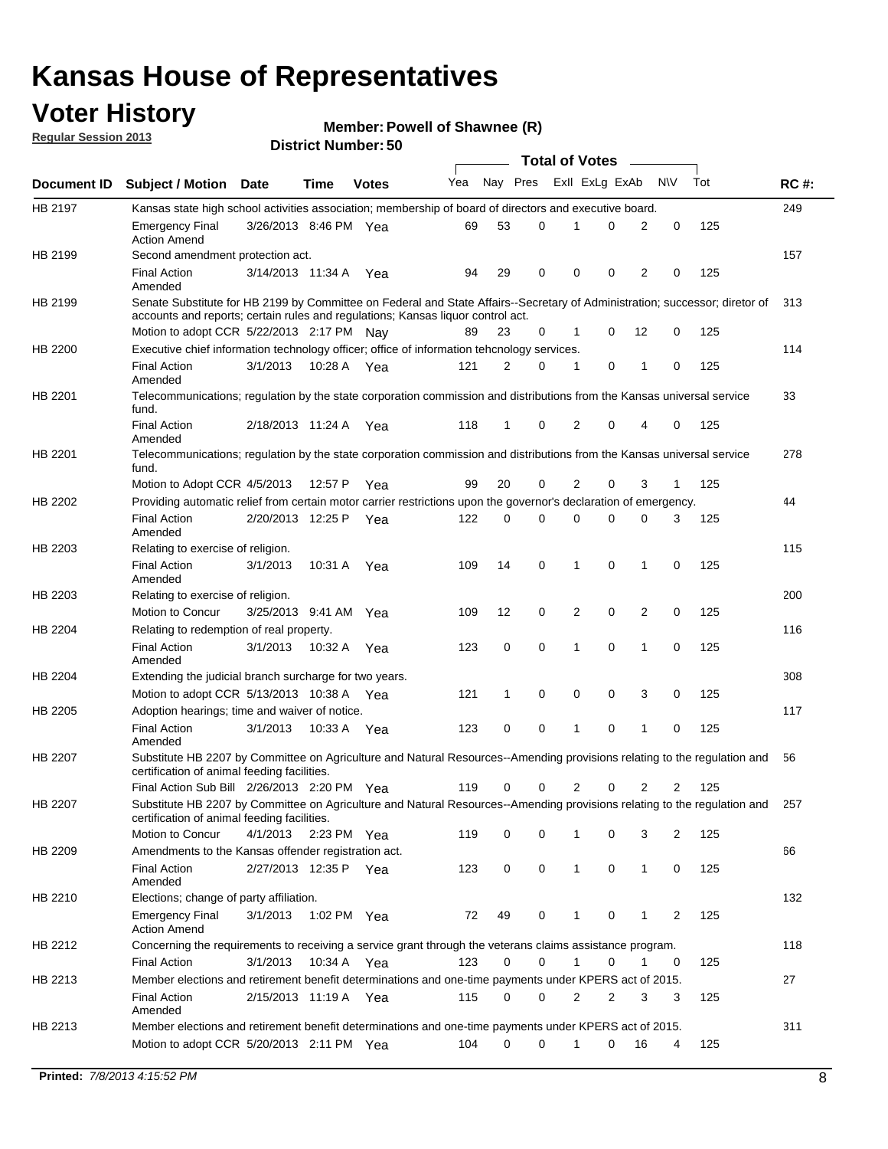### **Voter History**

**Member: Powell of Shawnee (R)** 

**Regular Session 2013**

|                    |                                                                                                                                                                                                                |                       | טט. וסמוווטנו ועוווסו |              |     |              | <b>Total of Votes</b> |                |          | $\overline{\phantom{a}}$ |           |     |     |
|--------------------|----------------------------------------------------------------------------------------------------------------------------------------------------------------------------------------------------------------|-----------------------|-----------------------|--------------|-----|--------------|-----------------------|----------------|----------|--------------------------|-----------|-----|-----|
| <b>Document ID</b> | <b>Subject / Motion Date</b>                                                                                                                                                                                   |                       | Time                  | <b>Votes</b> | Yea | Nay Pres     |                       | Exll ExLg ExAb |          |                          | <b>NV</b> | Tot | RC# |
| HB 2197            | Kansas state high school activities association; membership of board of directors and executive board.                                                                                                         |                       |                       |              |     |              |                       |                |          |                          |           |     | 249 |
|                    | <b>Emergency Final</b><br><b>Action Amend</b>                                                                                                                                                                  | 3/26/2013 8:46 PM Yea |                       |              | 69  | 53           | 0                     | 1              | 0        | 2                        | 0         | 125 |     |
| HB 2199            | Second amendment protection act.                                                                                                                                                                               |                       |                       |              |     |              |                       |                |          |                          |           |     | 157 |
|                    | <b>Final Action</b><br>Amended                                                                                                                                                                                 | 3/14/2013 11:34 A     |                       | Yea          | 94  | 29           | 0                     | 0              | 0        | 2                        | 0         | 125 |     |
| HB 2199            | Senate Substitute for HB 2199 by Committee on Federal and State Affairs--Secretary of Administration; successor; diretor of<br>accounts and reports; certain rules and regulations; Kansas liquor control act. |                       |                       |              |     |              |                       |                |          |                          |           |     | 313 |
|                    | Motion to adopt CCR 5/22/2013 2:17 PM Nay                                                                                                                                                                      |                       |                       |              |     | 23           | 0                     | 1              | 0        | 12                       | 0         | 125 |     |
| HB 2200            | Executive chief information technology officer; office of information tehcnology services.                                                                                                                     |                       |                       |              |     |              |                       |                |          |                          |           |     | 114 |
|                    | <b>Final Action</b><br>Amended                                                                                                                                                                                 | 3/1/2013              | 10:28 A Yea           |              | 121 | 2            | 0                     | 1              | 0        | 1                        | 0         | 125 |     |
| HB 2201            | Telecommunications; regulation by the state corporation commission and distributions from the Kansas universal service<br>fund.                                                                                |                       |                       |              |     |              |                       |                |          |                          |           |     | 33  |
|                    | <b>Final Action</b><br>Amended                                                                                                                                                                                 | 2/18/2013 11:24 A     |                       | Yea          | 118 | 1            | 0                     | 2              | $\Omega$ | 4                        | 0         | 125 |     |
| HB 2201            | Telecommunications; regulation by the state corporation commission and distributions from the Kansas universal service<br>fund.                                                                                |                       |                       |              |     |              |                       |                |          |                          |           |     | 278 |
|                    | Motion to Adopt CCR 4/5/2013                                                                                                                                                                                   |                       | 12:57 P               | Yea          | 99  | 20           | 0                     | 2              | 0        | 3                        | 1         | 125 |     |
| HB 2202            | Providing automatic relief from certain motor carrier restrictions upon the governor's declaration of emergency.                                                                                               |                       |                       |              |     |              |                       |                |          |                          |           |     | 44  |
|                    | <b>Final Action</b><br>Amended                                                                                                                                                                                 | 2/20/2013 12:25 P     |                       | Yea          | 122 | 0            | 0                     | $\Omega$       | 0        | 0                        | 3         | 125 |     |
| HB 2203            | Relating to exercise of religion.                                                                                                                                                                              |                       |                       |              |     |              |                       |                |          |                          |           |     | 115 |
|                    | <b>Final Action</b><br>Amended                                                                                                                                                                                 | 3/1/2013              | 10:31 A               | Yea          | 109 | 14           | 0                     | 1              | 0        | 1                        | 0         | 125 |     |
| HB 2203            | Relating to exercise of religion.                                                                                                                                                                              |                       |                       |              |     |              |                       |                |          |                          |           |     | 200 |
|                    | Motion to Concur                                                                                                                                                                                               | 3/25/2013 9:41 AM Yea |                       |              | 109 | 12           | 0                     | 2              | 0        | 2                        | 0         | 125 |     |
| HB 2204            | Relating to redemption of real property.                                                                                                                                                                       |                       |                       |              |     |              |                       |                |          |                          |           |     | 116 |
|                    | <b>Final Action</b><br>Amended                                                                                                                                                                                 | 3/1/2013              | 10:32 A               | Yea          | 123 | 0            | 0                     | 1              | 0        | $\mathbf{1}$             | 0         | 125 |     |
| HB 2204            | Extending the judicial branch surcharge for two years.                                                                                                                                                         |                       |                       |              |     |              |                       |                |          |                          |           |     | 308 |
|                    | Motion to adopt CCR $5/13/2013$ 10:38 A Yea                                                                                                                                                                    |                       |                       |              | 121 | $\mathbf{1}$ | 0                     | 0              | 0        | 3                        | 0         | 125 |     |
| HB 2205            | Adoption hearings; time and waiver of notice.                                                                                                                                                                  |                       |                       |              |     |              |                       |                |          |                          |           |     | 117 |
|                    | <b>Final Action</b><br>Amended                                                                                                                                                                                 | 3/1/2013              | 10:33 A Yea           |              | 123 | 0            | 0                     | 1              | 0        | 1                        | 0         | 125 |     |
| <b>HB 2207</b>     | Substitute HB 2207 by Committee on Agriculture and Natural Resources--Amending provisions relating to the regulation and<br>certification of animal feeding facilities.                                        |                       |                       |              |     |              |                       |                |          |                          |           |     | 56  |
|                    | Final Action Sub Bill 2/26/2013 2:20 PM Yea                                                                                                                                                                    |                       |                       |              | 119 | 0            | 0                     | 2              | 0        | 2                        | 2         | 125 |     |
| HB 2207            | Substitute HB 2207 by Committee on Agriculture and Natural Resources--Amending provisions relating to the regulation and<br>certification of animal feeding facilities.                                        |                       |                       |              |     |              |                       |                |          |                          |           |     | 257 |
|                    | Motion to Concur                                                                                                                                                                                               | 4/1/2013 2:23 PM Yea  |                       |              | 119 | 0            | 0                     | 1              | 0        | 3                        | 2         | 125 |     |
| HB 2209            | Amendments to the Kansas offender registration act.                                                                                                                                                            |                       |                       |              |     |              |                       |                |          |                          |           |     | 66  |
|                    | <b>Final Action</b><br>Amended                                                                                                                                                                                 | 2/27/2013 12:35 P Yea |                       |              | 123 | 0            | 0                     | $\mathbf{1}$   | 0        | 1                        | 0         | 125 |     |
| HB 2210            | Elections; change of party affiliation.                                                                                                                                                                        |                       |                       |              |     |              |                       |                |          |                          |           |     | 132 |
|                    | <b>Emergency Final</b><br><b>Action Amend</b>                                                                                                                                                                  | 3/1/2013              | 1:02 PM Yea           |              | 72  | 49           | 0                     | 1              | 0        | 1                        | 2         | 125 |     |
| HB 2212            | Concerning the requirements to receiving a service grant through the veterans claims assistance program.<br><b>Final Action</b>                                                                                | 3/1/2013              | 10:34 A               | Yea          | 123 | 0            | 0                     | 1              | 0        | 1                        | 0         | 125 | 118 |
| HB 2213            | Member elections and retirement benefit determinations and one-time payments under KPERS act of 2015.                                                                                                          |                       |                       |              |     |              |                       |                |          |                          |           |     | 27  |
|                    | <b>Final Action</b><br>Amended                                                                                                                                                                                 | 2/15/2013 11:19 A Yea |                       |              | 115 | 0            | 0                     | 2              | 2        | 3                        | 3         | 125 |     |
| HB 2213            | Member elections and retirement benefit determinations and one-time payments under KPERS act of 2015.                                                                                                          |                       |                       |              |     |              |                       |                |          |                          |           |     | 311 |
|                    | Motion to adopt CCR 5/20/2013 2:11 PM Yea                                                                                                                                                                      |                       |                       |              | 104 | 0            | 0                     | 1              | 0        | 16                       | 4         | 125 |     |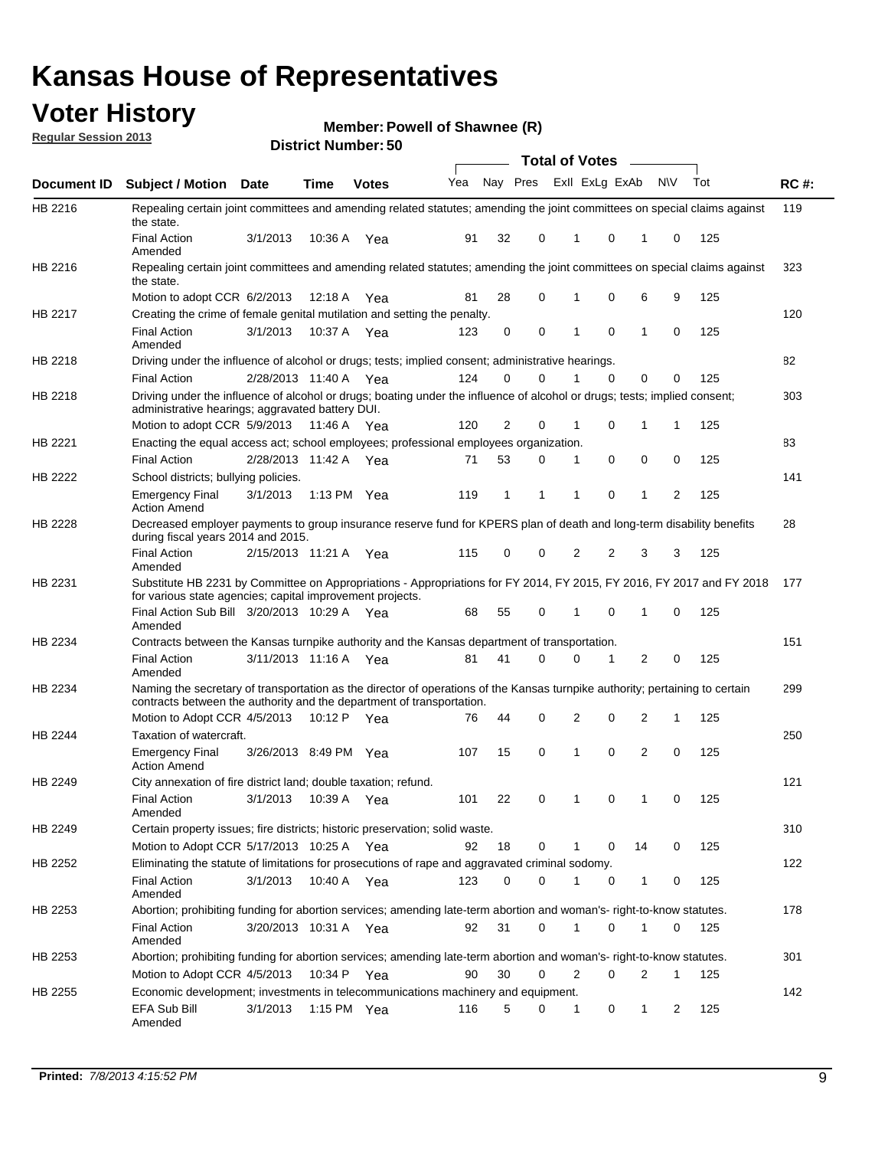### **Voter History**

**Member: Powell of Shawnee (R)** 

**Regular Session 2013**

|             |                                                                                                                                                                                                               |                       |               |              |     |          |          | <b>Total of Votes</b> |          | $\frac{1}{1-\frac{1}{2}}\left( \frac{1}{\sqrt{2}}\right) ^{2}+\frac{1}{2}\left( \frac{1}{2}\right) ^{2}+\frac{1}{2}\left( \frac{1}{2}\right) ^{2}+\frac{1}{2}\left( \frac{1}{2}\right) ^{2}+\frac{1}{2}\left( \frac{1}{2}\right) ^{2}+\frac{1}{2}\left( \frac{1}{2}\right) ^{2}+\frac{1}{2}\left( \frac{1}{2}\right) ^{2}+\frac{1}{2}\left( \frac{1}{2}\right) ^{2}+\frac{1}{2}\left( \frac{1}{2}\right) ^{2}+\frac{1}{2}\left( \frac$ |           |     |             |
|-------------|---------------------------------------------------------------------------------------------------------------------------------------------------------------------------------------------------------------|-----------------------|---------------|--------------|-----|----------|----------|-----------------------|----------|----------------------------------------------------------------------------------------------------------------------------------------------------------------------------------------------------------------------------------------------------------------------------------------------------------------------------------------------------------------------------------------------------------------------------------------|-----------|-----|-------------|
| Document ID | Subject / Motion Date                                                                                                                                                                                         |                       | <b>Time</b>   | <b>Votes</b> | Yea | Nay Pres |          | Exll ExLg ExAb        |          |                                                                                                                                                                                                                                                                                                                                                                                                                                        | <b>NV</b> | Tot | <b>RC#:</b> |
| HB 2216     | Repealing certain joint committees and amending related statutes; amending the joint committees on special claims against<br>the state.                                                                       |                       |               |              |     |          |          |                       |          |                                                                                                                                                                                                                                                                                                                                                                                                                                        |           |     | 119         |
|             | <b>Final Action</b><br>Amended                                                                                                                                                                                | 3/1/2013              | 10:36 A       | Yea          | 91  | 32       | 0        | 1                     | 0        | 1                                                                                                                                                                                                                                                                                                                                                                                                                                      | 0         | 125 |             |
| HB 2216     | Repealing certain joint committees and amending related statutes; amending the joint committees on special claims against<br>the state.                                                                       |                       |               |              |     |          |          |                       |          |                                                                                                                                                                                                                                                                                                                                                                                                                                        |           |     | 323         |
|             | Motion to adopt CCR 6/2/2013                                                                                                                                                                                  |                       | 12:18 A       | Yea          | 81  | 28       | 0        | 1                     | 0        | 6                                                                                                                                                                                                                                                                                                                                                                                                                                      | 9         | 125 |             |
| HB 2217     | Creating the crime of female genital mutilation and setting the penalty.                                                                                                                                      |                       |               |              |     |          |          |                       |          |                                                                                                                                                                                                                                                                                                                                                                                                                                        |           |     | 120         |
|             | <b>Final Action</b><br>Amended                                                                                                                                                                                | 3/1/2013              | 10:37 A Yea   |              | 123 | 0        | 0        | 1                     | 0        | 1                                                                                                                                                                                                                                                                                                                                                                                                                                      | 0         | 125 |             |
| HB 2218     | Driving under the influence of alcohol or drugs; tests; implied consent; administrative hearings.                                                                                                             |                       |               |              |     |          |          |                       |          |                                                                                                                                                                                                                                                                                                                                                                                                                                        |           |     | 82          |
|             | <b>Final Action</b>                                                                                                                                                                                           | 2/28/2013 11:40 A Yea |               |              | 124 | 0        | $\Omega$ |                       | $\Omega$ | 0                                                                                                                                                                                                                                                                                                                                                                                                                                      | 0         | 125 |             |
| HB 2218     | Driving under the influence of alcohol or drugs; boating under the influence of alcohol or drugs; tests; implied consent;<br>administrative hearings; aggravated battery DUI.<br>Motion to adopt CCR 5/9/2013 |                       | 11:46 A Yea   |              | 120 | 2        | 0        | 1                     | 0        | 1                                                                                                                                                                                                                                                                                                                                                                                                                                      | 1         | 125 | 303         |
| HB 2221     | Enacting the equal access act; school employees; professional employees organization.                                                                                                                         |                       |               |              |     |          |          |                       |          |                                                                                                                                                                                                                                                                                                                                                                                                                                        |           |     | 83          |
|             | <b>Final Action</b>                                                                                                                                                                                           | 2/28/2013 11:42 A Yea |               |              | 71  | 53       | 0        | 1                     | 0        | 0                                                                                                                                                                                                                                                                                                                                                                                                                                      | 0         | 125 |             |
|             | School districts; bullying policies.                                                                                                                                                                          |                       |               |              |     |          |          |                       |          |                                                                                                                                                                                                                                                                                                                                                                                                                                        |           |     | 141         |
| HB 2222     | Emergency Final<br><b>Action Amend</b>                                                                                                                                                                        | 3/1/2013              | 1:13 PM $Yea$ |              | 119 | 1        | 1        | 1                     | 0        | 1                                                                                                                                                                                                                                                                                                                                                                                                                                      | 2         | 125 |             |
| HB 2228     | Decreased employer payments to group insurance reserve fund for KPERS plan of death and long-term disability benefits<br>during fiscal years 2014 and 2015.                                                   |                       |               |              |     |          |          |                       |          |                                                                                                                                                                                                                                                                                                                                                                                                                                        |           |     | 28          |
|             | <b>Final Action</b><br>Amended                                                                                                                                                                                | 2/15/2013 11:21 A Yea |               |              | 115 | 0        | 0        | 2                     | 2        | 3                                                                                                                                                                                                                                                                                                                                                                                                                                      | 3         | 125 |             |
| HB 2231     | Substitute HB 2231 by Committee on Appropriations - Appropriations for FY 2014, FY 2015, FY 2016, FY 2017 and FY 2018 177<br>for various state agencies; capital improvement projects.                        |                       |               |              |     |          |          |                       |          |                                                                                                                                                                                                                                                                                                                                                                                                                                        |           |     |             |
|             | Final Action Sub Bill 3/20/2013 10:29 A Yea<br>Amended                                                                                                                                                        |                       |               |              | 68  | 55       | 0        | 1                     | 0        | 1                                                                                                                                                                                                                                                                                                                                                                                                                                      | 0         | 125 |             |
| HB 2234     | Contracts between the Kansas turnpike authority and the Kansas department of transportation.                                                                                                                  |                       |               |              |     |          |          |                       |          |                                                                                                                                                                                                                                                                                                                                                                                                                                        |           |     | 151         |
|             | <b>Final Action</b><br>Amended                                                                                                                                                                                | 3/11/2013 11:16 A     |               | Yea          | 81  | 41       | 0        | 0                     | 1        | 2                                                                                                                                                                                                                                                                                                                                                                                                                                      | 0         | 125 |             |
| HB 2234     | Naming the secretary of transportation as the director of operations of the Kansas turnpike authority; pertaining to certain<br>contracts between the authority and the department of transportation.         |                       |               |              |     |          |          |                       |          |                                                                                                                                                                                                                                                                                                                                                                                                                                        |           |     | 299         |
|             | Motion to Adopt CCR 4/5/2013                                                                                                                                                                                  |                       | 10:12 P Yea   |              | 76  | 44       | 0        | 2                     | 0        | 2                                                                                                                                                                                                                                                                                                                                                                                                                                      | 1         | 125 |             |
| HB 2244     | Taxation of watercraft.<br><b>Emergency Final</b>                                                                                                                                                             | 3/26/2013 8:49 PM Yea |               |              | 107 | 15       | 0        | 1                     | 0        | 2                                                                                                                                                                                                                                                                                                                                                                                                                                      | 0         | 125 | 250         |
|             | <b>Action Amend</b>                                                                                                                                                                                           |                       |               |              |     |          |          |                       |          |                                                                                                                                                                                                                                                                                                                                                                                                                                        |           |     |             |
| HB 2249     | City annexation of fire district land; double taxation; refund.<br>Final Action                                                                                                                               | 3/1/2013 10:39 A Yea  |               |              | 101 | 22       | 0        | $\mathbf{1}$          | $\cap$   | $\mathbf{1}$                                                                                                                                                                                                                                                                                                                                                                                                                           | $\Omega$  | 125 | 121         |
| HB 2249     | Amended<br>Certain property issues; fire districts; historic preservation; solid waste.                                                                                                                       |                       |               |              |     |          |          |                       |          |                                                                                                                                                                                                                                                                                                                                                                                                                                        |           |     | 310         |
|             | Motion to Adopt CCR 5/17/2013 10:25 A Yea                                                                                                                                                                     |                       |               |              |     |          | 0        |                       | 0        | 14                                                                                                                                                                                                                                                                                                                                                                                                                                     | 0         | 125 |             |
|             |                                                                                                                                                                                                               |                       |               |              | 92  | 18       |          |                       |          |                                                                                                                                                                                                                                                                                                                                                                                                                                        |           |     |             |
| HB 2252     | Eliminating the statute of limitations for prosecutions of rape and aggravated criminal sodomy.                                                                                                               |                       |               |              |     |          |          |                       |          |                                                                                                                                                                                                                                                                                                                                                                                                                                        |           |     | 122         |
|             | <b>Final Action</b><br>Amended                                                                                                                                                                                | 3/1/2013              | 10:40 A Yea   |              | 123 | $\Omega$ | 0        |                       | 0        | 1                                                                                                                                                                                                                                                                                                                                                                                                                                      | 0         | 125 |             |
| HB 2253     | Abortion; prohibiting funding for abortion services; amending late-term abortion and woman's- right-to-know statutes.                                                                                         |                       |               |              |     |          |          |                       |          |                                                                                                                                                                                                                                                                                                                                                                                                                                        |           |     | 178         |
|             | <b>Final Action</b><br>Amended                                                                                                                                                                                | 3/20/2013 10:31 A Yea |               |              | 92  | 31       | 0        | 1                     | 0        | 1                                                                                                                                                                                                                                                                                                                                                                                                                                      | 0         | 125 |             |
| HB 2253     | Abortion; prohibiting funding for abortion services; amending late-term abortion and woman's- right-to-know statutes.                                                                                         |                       |               |              |     |          |          |                       |          |                                                                                                                                                                                                                                                                                                                                                                                                                                        |           |     | 301         |
|             | Motion to Adopt CCR 4/5/2013                                                                                                                                                                                  |                       | 10:34 P Yea   |              | 90  | 30       | 0        | 2                     | 0        | 2                                                                                                                                                                                                                                                                                                                                                                                                                                      | 1         | 125 |             |
| HB 2255     | Economic development; investments in telecommunications machinery and equipment.                                                                                                                              |                       |               |              |     |          |          |                       |          |                                                                                                                                                                                                                                                                                                                                                                                                                                        |           |     | 142         |
|             | EFA Sub Bill<br>Amended                                                                                                                                                                                       | 3/1/2013              |               | 1:15 PM Yea  | 116 | 5        | 0        | -1                    | 0        | 1                                                                                                                                                                                                                                                                                                                                                                                                                                      | 2         | 125 |             |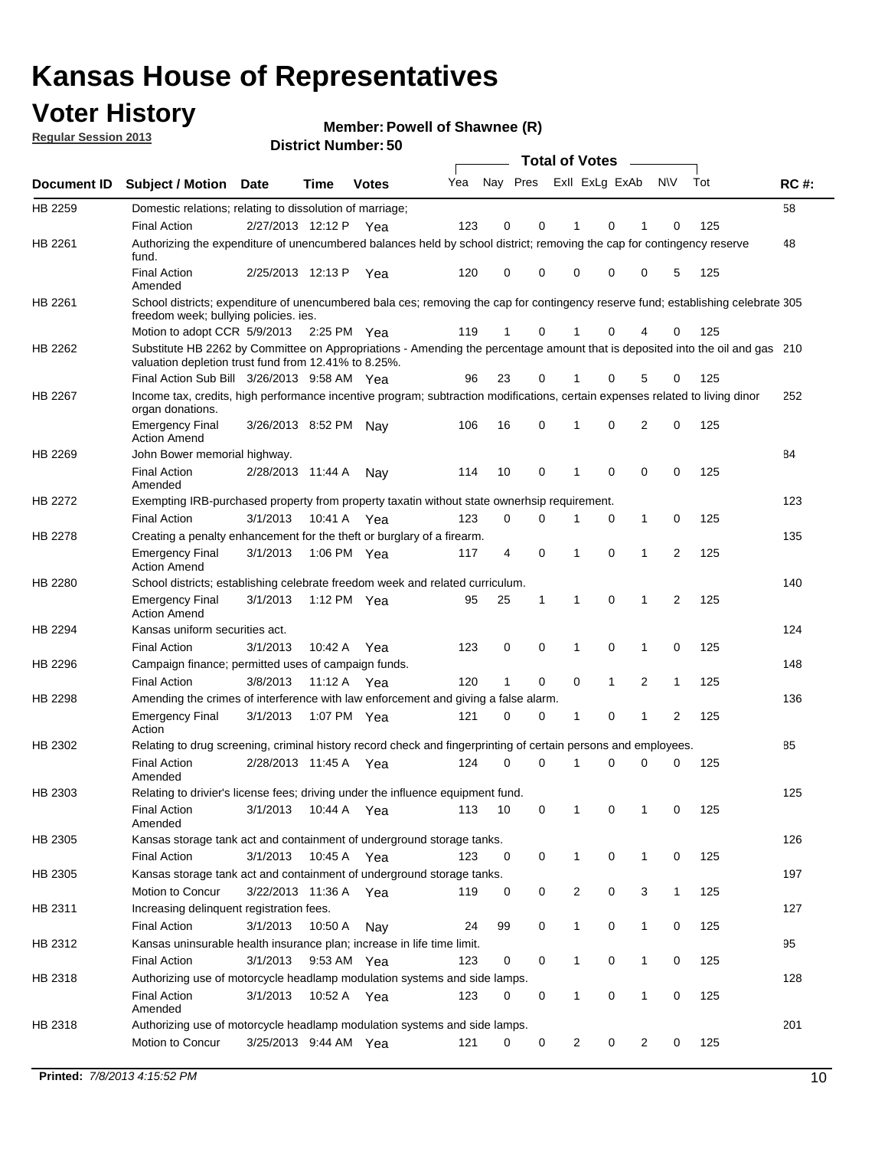### **Voter History**

**Member: Powell of Shawnee (R)** 

**Regular Session 2013**

|             |                                                                                                                                                                                       |                       | טט. וסמוווטנו ועוווסו |              |     |                         |             | <b>Total of Votes</b> |              | $\overline{\phantom{a}}$ |              |     |             |
|-------------|---------------------------------------------------------------------------------------------------------------------------------------------------------------------------------------|-----------------------|-----------------------|--------------|-----|-------------------------|-------------|-----------------------|--------------|--------------------------|--------------|-----|-------------|
| Document ID | <b>Subject / Motion Date</b>                                                                                                                                                          |                       | <b>Time</b>           | <b>Votes</b> | Yea | Nay Pres Exll ExLg ExAb |             |                       |              |                          | <b>NV</b>    | Tot | <b>RC#:</b> |
| HB 2259     | Domestic relations; relating to dissolution of marriage;                                                                                                                              |                       |                       |              |     |                         |             |                       |              |                          |              |     | 58          |
|             | <b>Final Action</b>                                                                                                                                                                   | 2/27/2013 12:12 P     |                       | Yea          | 123 | 0                       | 0           | 1                     | 0            | 1                        | $\Omega$     | 125 |             |
| HB 2261     | Authorizing the expenditure of unencumbered balances held by school district; removing the cap for contingency reserve<br>fund.                                                       |                       |                       |              |     |                         |             |                       |              |                          |              |     | 48          |
|             | <b>Final Action</b><br>Amended                                                                                                                                                        | 2/25/2013 12:13 P     |                       | Yea          | 120 | 0                       | 0           | 0                     | 0            | 0                        | 5            | 125 |             |
| HB 2261     | School districts; expenditure of unencumbered bala ces; removing the cap for contingency reserve fund; establishing celebrate 305<br>freedom week; bullying policies. ies.            |                       |                       |              |     |                         |             |                       |              |                          |              |     |             |
|             | Motion to adopt CCR 5/9/2013                                                                                                                                                          |                       | 2:25 PM Yea           |              | 119 | 1                       | 0           |                       | 0            | 4                        | 0            | 125 |             |
| HB 2262     | Substitute HB 2262 by Committee on Appropriations - Amending the percentage amount that is deposited into the oil and gas 210<br>valuation depletion trust fund from 12.41% to 8.25%. |                       |                       |              |     |                         |             |                       |              |                          |              |     |             |
|             | Final Action Sub Bill 3/26/2013 9:58 AM Yea                                                                                                                                           |                       |                       |              | 96  | 23                      | 0           |                       | 0            | 5                        | 0            | 125 |             |
| HB 2267     | Income tax, credits, high performance incentive program; subtraction modifications, certain expenses related to living dinor<br>organ donations.                                      |                       |                       |              |     |                         |             |                       |              |                          |              |     | 252         |
|             | <b>Emergency Final</b><br><b>Action Amend</b>                                                                                                                                         | 3/26/2013 8:52 PM Nay |                       |              | 106 | 16                      | 0           | 1                     | 0            | 2                        | 0            | 125 |             |
| HB 2269     | John Bower memorial highway.                                                                                                                                                          |                       |                       |              |     |                         |             |                       |              |                          |              |     | 84          |
|             | <b>Final Action</b><br>Amended                                                                                                                                                        | 2/28/2013 11:44 A     |                       | Nay          | 114 | 10                      | 0           | 1                     | 0            | 0                        | 0            | 125 |             |
| HB 2272     | Exempting IRB-purchased property from property taxatin without state ownerhsip requirement.                                                                                           |                       |                       |              |     |                         |             |                       |              |                          |              |     | 123         |
|             | <b>Final Action</b>                                                                                                                                                                   | 3/1/2013              | 10:41 A               | Yea          | 123 | 0                       | 0           | 1                     | 0            | $\mathbf{1}$             | 0            | 125 |             |
| HB 2278     | Creating a penalty enhancement for the theft or burglary of a firearm.                                                                                                                |                       |                       |              |     |                         |             |                       |              |                          |              |     | 135         |
|             | <b>Emergency Final</b><br><b>Action Amend</b>                                                                                                                                         | 3/1/2013              | 1:06 PM Yea           |              | 117 | 4                       | $\mathbf 0$ | 1                     | 0            | 1                        | 2            | 125 |             |
| HB 2280     | School districts; establishing celebrate freedom week and related curriculum.                                                                                                         |                       |                       |              |     |                         |             |                       |              |                          |              |     | 140         |
|             | <b>Emergency Final</b><br><b>Action Amend</b>                                                                                                                                         | 3/1/2013              | 1:12 PM Yea           |              | 95  | 25                      | 1           | 1                     | 0            | 1                        | 2            | 125 |             |
| HB 2294     | Kansas uniform securities act.                                                                                                                                                        |                       |                       |              |     |                         |             |                       |              |                          |              |     | 124         |
|             | <b>Final Action</b>                                                                                                                                                                   | 3/1/2013              | 10:42 A               | Yea          | 123 | 0                       | 0           | 1                     | 0            | $\mathbf{1}$             | 0            | 125 |             |
| HB 2296     | Campaign finance; permitted uses of campaign funds.                                                                                                                                   |                       |                       |              |     |                         |             |                       |              |                          |              |     | 148         |
|             | <b>Final Action</b>                                                                                                                                                                   | 3/8/2013              | 11:12 A Yea           |              | 120 | $\mathbf{1}$            | 0           | 0                     | $\mathbf{1}$ | 2                        | $\mathbf{1}$ | 125 |             |
| HB 2298     | Amending the crimes of interference with law enforcement and giving a false alarm.                                                                                                    |                       |                       |              |     |                         |             |                       |              |                          |              |     | 136         |
|             | <b>Emergency Final</b><br>Action                                                                                                                                                      | 3/1/2013              | 1:07 PM Yea           |              | 121 | 0                       | 0           | 1                     | 0            | 1                        | 2            | 125 |             |
| HB 2302     | Relating to drug screening, criminal history record check and fingerprinting of certain persons and employees.                                                                        |                       |                       |              |     |                         |             |                       |              |                          |              |     | 85          |
|             | <b>Final Action</b><br>Amended                                                                                                                                                        | 2/28/2013 11:45 A     |                       | Yea          | 124 | 0                       | $\Omega$    | 1                     | 0            | 0                        | $\mathbf 0$  | 125 |             |
| HB 2303     | Relating to drivier's license fees; driving under the influence equipment fund.                                                                                                       |                       |                       |              |     |                         |             |                       |              |                          |              |     | 125         |
|             | <b>Final Action</b><br>Amended                                                                                                                                                        | 3/1/2013              | 10:44 A               | Yea          | 113 | 10                      | 0           | 1                     | 0            | 1                        | 0            | 125 |             |
| HB 2305     | Kansas storage tank act and containment of underground storage tanks.                                                                                                                 |                       |                       |              |     |                         |             |                       |              |                          |              |     | 126         |
|             | <b>Final Action</b>                                                                                                                                                                   | 3/1/2013              | 10:45 A               | Yea          | 123 | 0                       | 0           | 1                     | 0            | 1                        | 0            | 125 |             |
| HB 2305     | Kansas storage tank act and containment of underground storage tanks.                                                                                                                 |                       |                       |              |     |                         |             |                       |              |                          |              |     | 197         |
|             | Motion to Concur                                                                                                                                                                      | 3/22/2013 11:36 A     |                       | Yea          | 119 | 0                       | 0           | 2                     | 0            | 3                        | $\mathbf{1}$ | 125 |             |
| HB 2311     | Increasing delinquent registration fees.                                                                                                                                              |                       |                       |              |     |                         |             |                       |              |                          |              |     | 127         |
|             | <b>Final Action</b>                                                                                                                                                                   | 3/1/2013              | 10:50 A               | Nay          | 24  | 99                      | 0           | $\mathbf{1}$          | 0            | 1                        | 0            | 125 |             |
| HB 2312     | Kansas uninsurable health insurance plan; increase in life time limit.                                                                                                                |                       |                       |              |     |                         |             |                       |              |                          |              |     | 95          |
|             | <b>Final Action</b>                                                                                                                                                                   | 3/1/2013              | 9:53 AM Yea           |              | 123 | 0                       | 0           | 1                     | 0            | 1                        | 0            | 125 |             |
| HB 2318     | Authorizing use of motorcycle headlamp modulation systems and side lamps.                                                                                                             |                       |                       |              |     |                         |             |                       |              |                          |              |     | 128         |
|             | <b>Final Action</b><br>Amended                                                                                                                                                        | 3/1/2013              | 10:52 A               | Yea          | 123 | 0                       | 0           | 1                     | 0            | 1                        | 0            | 125 |             |
| HB 2318     | Authorizing use of motorcycle headlamp modulation systems and side lamps.                                                                                                             |                       |                       |              |     |                         |             |                       |              |                          |              |     | 201         |
|             | Motion to Concur                                                                                                                                                                      | 3/25/2013 9:44 AM Yea |                       |              | 121 | 0                       | 0           | 2                     | 0            | 2                        | 0            | 125 |             |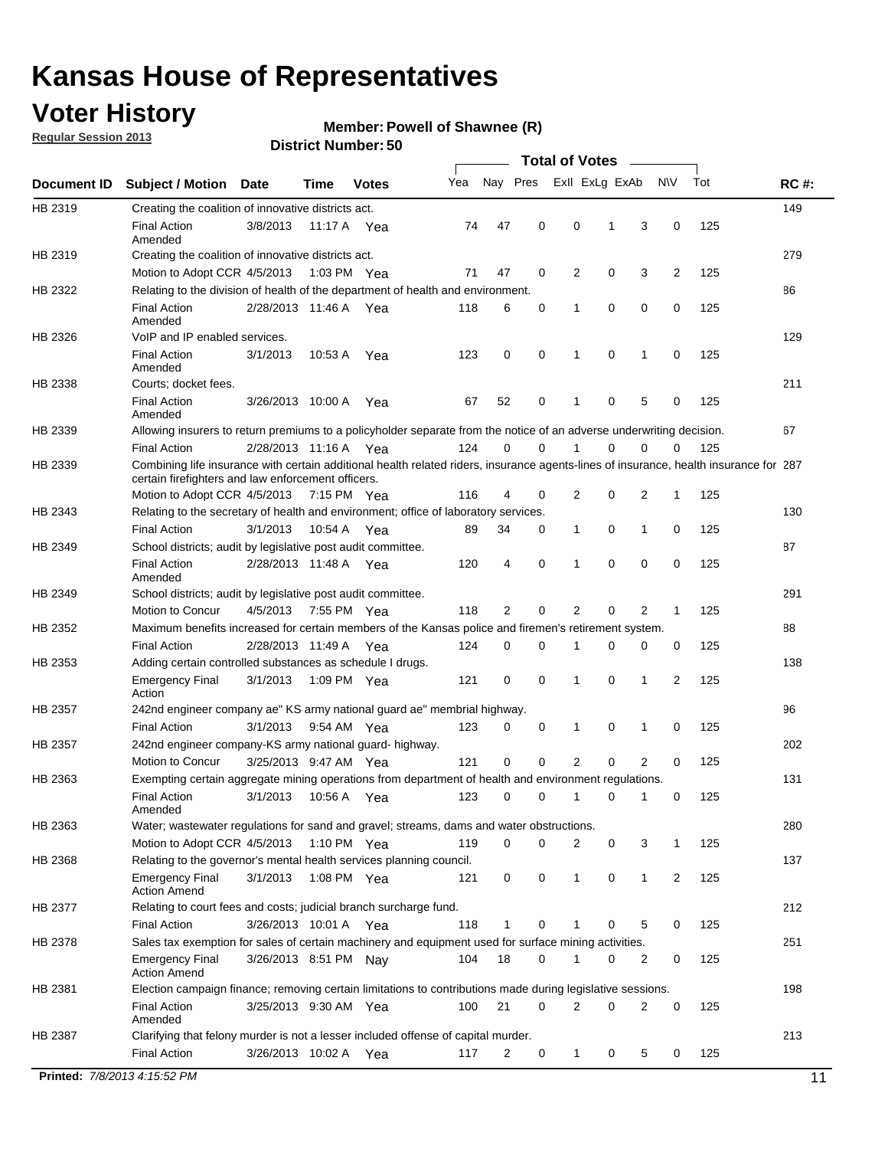### **Voter History**

**Member: Powell of Shawnee (R)** 

**Regular Session 2013**

|             |                                                                                                                                                                                             |                       |             |               |     |             |             | <b>Total of Votes</b> |   |                |           |     |             |
|-------------|---------------------------------------------------------------------------------------------------------------------------------------------------------------------------------------------|-----------------------|-------------|---------------|-----|-------------|-------------|-----------------------|---|----------------|-----------|-----|-------------|
| Document ID | <b>Subject / Motion</b>                                                                                                                                                                     | <b>Date</b>           | Time        | <b>Votes</b>  | Yea | Nay Pres    |             | Exll ExLg ExAb        |   |                | <b>NV</b> | Tot | <b>RC#:</b> |
| HB 2319     | Creating the coalition of innovative districts act.                                                                                                                                         |                       |             |               |     |             |             |                       |   |                |           |     | 149         |
|             | <b>Final Action</b>                                                                                                                                                                         | 3/8/2013              | 11:17 A     | Yea           | 74  | 47          | 0           | 0                     | 1 | 3              | 0         | 125 |             |
| HB 2319     | Amended<br>Creating the coalition of innovative districts act.                                                                                                                              |                       |             |               |     |             |             |                       |   |                |           |     | 279         |
|             | Motion to Adopt CCR 4/5/2013                                                                                                                                                                |                       |             | 1:03 PM Yea   | 71  | 47          | 0           | 2                     | 0 | 3              | 2         | 125 |             |
| HB 2322     | Relating to the division of health of the department of health and environment.                                                                                                             |                       |             |               |     |             |             |                       |   |                |           |     | 86          |
|             | <b>Final Action</b>                                                                                                                                                                         | 2/28/2013 11:46 A Yea |             |               | 118 | 6           | 0           | 1                     | 0 | 0              | 0         | 125 |             |
|             | Amended                                                                                                                                                                                     |                       |             |               |     |             |             |                       |   |                |           |     |             |
| HB 2326     | VoIP and IP enabled services.                                                                                                                                                               |                       |             |               |     |             |             |                       |   |                |           |     | 129         |
|             | <b>Final Action</b><br>Amended                                                                                                                                                              | 3/1/2013              | 10.53 A     | Yea           | 123 | $\mathbf 0$ | 0           | $\mathbf{1}$          | 0 | 1              | 0         | 125 |             |
| HB 2338     | Courts; docket fees.                                                                                                                                                                        |                       |             |               |     |             |             |                       |   |                |           |     | 211         |
|             | <b>Final Action</b><br>Amended                                                                                                                                                              | 3/26/2013 10:00 A     |             | Yea           | 67  | 52          | 0           | $\mathbf 1$           | 0 | 5              | 0         | 125 |             |
| HB 2339     | Allowing insurers to return premiums to a policyholder separate from the notice of an adverse underwriting decision.                                                                        |                       |             |               |     |             |             |                       |   |                |           |     | 67          |
|             | <b>Final Action</b>                                                                                                                                                                         | 2/28/2013 11:16 A Yea |             |               | 124 | 0           | 0           |                       | 0 | 0              | 0         | 125 |             |
| HB 2339     | Combining life insurance with certain additional health related riders, insurance agents-lines of insurance, health insurance for 287<br>certain firefighters and law enforcement officers. |                       |             |               |     |             |             |                       |   |                |           |     |             |
|             | Motion to Adopt CCR 4/5/2013 7:15 PM Yea                                                                                                                                                    |                       |             |               | 116 | 4           | 0           | 2                     | 0 | 2              | -1        | 125 |             |
| HB 2343     | Relating to the secretary of health and environment; office of laboratory services.                                                                                                         |                       |             |               |     |             |             |                       |   |                |           |     | 130         |
|             | <b>Final Action</b>                                                                                                                                                                         | 3/1/2013              | 10:54 A Yea |               | 89  | 34          | 0           | 1                     | 0 | $\mathbf{1}$   | 0         | 125 |             |
| HB 2349     | School districts; audit by legislative post audit committee.                                                                                                                                |                       |             |               |     |             |             |                       |   |                |           |     | 87          |
|             | <b>Final Action</b><br>Amended                                                                                                                                                              | 2/28/2013 11:48 A Yea |             |               | 120 | 4           | $\mathbf 0$ | $\mathbf{1}$          | 0 | $\mathbf 0$    | 0         | 125 |             |
| HB 2349     | School districts; audit by legislative post audit committee.                                                                                                                                |                       |             |               |     |             |             |                       |   |                |           |     | 291         |
|             | Motion to Concur                                                                                                                                                                            | 4/5/2013              |             | 7:55 PM Yea   | 118 | 2           | 0           | 2                     | 0 | 2              | 1         | 125 |             |
| HB 2352     | Maximum benefits increased for certain members of the Kansas police and firemen's retirement system.                                                                                        |                       |             |               |     |             |             |                       |   |                |           |     | 88          |
|             | <b>Final Action</b>                                                                                                                                                                         | 2/28/2013 11:49 A     |             | Yea           | 124 | 0           | 0           | 1                     | 0 | 0              | 0         | 125 |             |
| HB 2353     | Adding certain controlled substances as schedule I drugs.                                                                                                                                   |                       |             |               |     |             |             |                       |   |                |           |     | 138         |
|             | Emergency Final<br>Action                                                                                                                                                                   | 3/1/2013              |             | 1:09 PM Yea   | 121 | 0           | 0           | $\mathbf{1}$          | 0 | 1              | 2         | 125 |             |
| HB 2357     | 242nd engineer company ae" KS army national guard ae" membrial highway.                                                                                                                     |                       |             |               |     |             |             |                       |   |                |           |     | 96          |
|             | <b>Final Action</b>                                                                                                                                                                         | 3/1/2013              |             | 9:54 AM Yea   | 123 | 0           | 0           | 1                     | 0 | 1              | 0         | 125 |             |
| HB 2357     | 242nd engineer company-KS army national guard- highway.                                                                                                                                     |                       |             |               |     |             |             |                       |   |                |           |     | 202         |
|             | Motion to Concur                                                                                                                                                                            | 3/25/2013 9:47 AM Yea |             |               | 121 | $\mathbf 0$ | $\mathbf 0$ | 2                     | 0 | $\overline{2}$ | 0         | 125 |             |
| HB 2363     | Exempting certain aggregate mining operations from department of health and environment regulations.                                                                                        |                       |             |               |     |             |             |                       |   |                |           |     | 131         |
|             | <b>Final Action</b><br>Amended                                                                                                                                                              | 3/1/2013              | 10:56 A     | Yea           | 123 | 0           | 0           | 1                     | 0 | 1              | 0         | 125 |             |
| HB 2363     | Water; wastewater regulations for sand and gravel; streams, dams and water obstructions.                                                                                                    |                       |             |               |     |             |             |                       |   |                |           |     | 280         |
|             | Motion to Adopt CCR 4/5/2013                                                                                                                                                                |                       |             | 1:10 PM $Yea$ | 119 | 0           | 0           | 2                     | 0 | 3              | 1         | 125 |             |
| HB 2368     | Relating to the governor's mental health services planning council.                                                                                                                         |                       |             |               |     |             |             |                       |   |                |           |     | 137         |
|             | Emergency Final<br>Action Amend                                                                                                                                                             | 3/1/2013              |             | 1:08 PM Yea   | 121 | 0           | 0           | 1                     | 0 | $\mathbf{1}$   | 2         | 125 |             |
| HB 2377     | Relating to court fees and costs; judicial branch surcharge fund.                                                                                                                           |                       |             |               |     |             |             |                       |   |                |           |     | 212         |
|             | Final Action                                                                                                                                                                                | 3/26/2013 10:01 A Yea |             |               | 118 | 1           | 0           |                       | 0 | 5              | 0         | 125 |             |
| HB 2378     | Sales tax exemption for sales of certain machinery and equipment used for surface mining activities.                                                                                        |                       |             |               |     |             |             |                       |   |                |           |     | 251         |
|             | Emergency Final<br><b>Action Amend</b>                                                                                                                                                      | 3/26/2013 8:51 PM Nay |             |               | 104 | 18          | 0           | 1                     | 0 | 2              | 0         | 125 |             |
| HB 2381     | Election campaign finance; removing certain limitations to contributions made during legislative sessions.                                                                                  |                       |             |               |     |             |             |                       |   |                |           |     | 198         |
|             | <b>Final Action</b><br>Amended                                                                                                                                                              | 3/25/2013 9:30 AM Yea |             |               | 100 | 21          | 0           | 2                     | 0 | $\overline{2}$ | 0         | 125 |             |
| HB 2387     | Clarifying that felony murder is not a lesser included offense of capital murder.                                                                                                           |                       |             |               |     |             |             |                       |   |                |           |     | 213         |
|             | <b>Final Action</b>                                                                                                                                                                         | 3/26/2013 10:02 A     |             | Yea           | 117 | 2           | 0           | 1                     | 0 | 5              | 0         | 125 |             |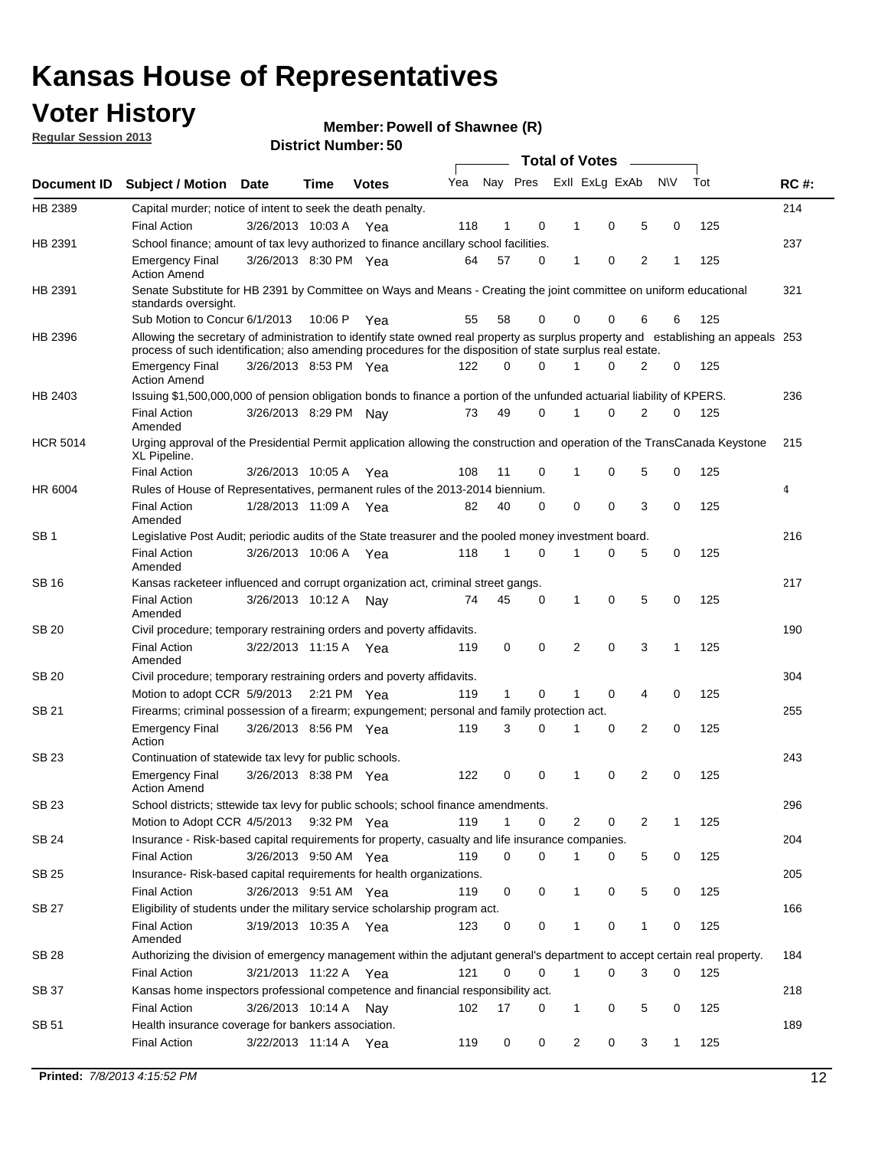### **Voter History**

**Member: Powell of Shawnee (R)** 

**Regular Session 2013**

|                 |                                                                                                                                                                                                                                                  |                       |        | טט. וסמוווטנו ועוווסו |     |              |              |              | <b>Total of Votes</b>   |                |              |     |             |
|-----------------|--------------------------------------------------------------------------------------------------------------------------------------------------------------------------------------------------------------------------------------------------|-----------------------|--------|-----------------------|-----|--------------|--------------|--------------|-------------------------|----------------|--------------|-----|-------------|
| Document ID     | <b>Subject / Motion Date</b>                                                                                                                                                                                                                     |                       | Time   | <b>Votes</b>          | Yea |              |              |              | Nay Pres Exll ExLg ExAb |                | <b>NV</b>    | Tot | <b>RC#:</b> |
| HB 2389         | Capital murder; notice of intent to seek the death penalty.                                                                                                                                                                                      |                       |        |                       |     |              |              |              |                         |                |              |     | 214         |
|                 | <b>Final Action</b>                                                                                                                                                                                                                              | 3/26/2013 10:03 A Yea |        |                       | 118 | 1            | 0            | 1            | 0                       | 5              | 0            | 125 |             |
| HB 2391         | School finance; amount of tax levy authorized to finance ancillary school facilities.                                                                                                                                                            |                       |        |                       |     |              |              |              |                         |                |              |     | 237         |
|                 | <b>Emergency Final</b><br><b>Action Amend</b>                                                                                                                                                                                                    | 3/26/2013 8:30 PM Yea |        |                       | 64  | 57           | 0            | $\mathbf 1$  | 0                       | 2              | 1            | 125 |             |
| HB 2391         | Senate Substitute for HB 2391 by Committee on Ways and Means - Creating the joint committee on uniform educational<br>standards oversight.                                                                                                       |                       |        |                       |     |              |              |              |                         |                |              |     | 321         |
|                 | Sub Motion to Concur 6/1/2013                                                                                                                                                                                                                    |                       | 10:06P | Yea                   | 55  | 58           | 0            | 0            | 0                       | 6              | 6            | 125 |             |
| HB 2396         | Allowing the secretary of administration to identify state owned real property as surplus property and establishing an appeals 253<br>process of such identification; also amending procedures for the disposition of state surplus real estate. |                       |        |                       |     |              |              |              |                         |                |              |     |             |
|                 | <b>Emergency Final</b><br><b>Action Amend</b>                                                                                                                                                                                                    | 3/26/2013 8:53 PM Yea |        |                       | 122 | 0            | <sup>0</sup> |              | O                       | 2              | 0            | 125 |             |
| HB 2403         | Issuing \$1,500,000,000 of pension obligation bonds to finance a portion of the unfunded actuarial liability of KPERS.                                                                                                                           |                       |        |                       |     |              |              |              |                         |                |              |     | 236         |
|                 | <b>Final Action</b><br>Amended                                                                                                                                                                                                                   | 3/26/2013 8:29 PM     |        | Nav                   | 73  | 49           | 0            | 1            | 0                       | $\overline{2}$ | 0            | 125 |             |
| <b>HCR 5014</b> | Urging approval of the Presidential Permit application allowing the construction and operation of the TransCanada Keystone<br>XL Pipeline.                                                                                                       |                       |        |                       |     |              |              |              |                         |                |              |     | 215         |
|                 | <b>Final Action</b>                                                                                                                                                                                                                              | 3/26/2013 10:05 A     |        | Yea                   | 108 | 11           | 0            | 1            | 0                       | 5              | 0            | 125 |             |
| HR 6004         | Rules of House of Representatives, permanent rules of the 2013-2014 biennium.                                                                                                                                                                    |                       |        |                       |     |              |              |              |                         |                |              |     | 4           |
|                 | <b>Final Action</b><br>Amended                                                                                                                                                                                                                   | 1/28/2013 11:09 A Yea |        |                       | 82  | 40           | 0            | 0            | 0                       | 3              | 0            | 125 |             |
| SB <sub>1</sub> | Legislative Post Audit; periodic audits of the State treasurer and the pooled money investment board.                                                                                                                                            |                       |        |                       |     |              |              |              |                         |                |              |     | 216         |
|                 | <b>Final Action</b><br>Amended                                                                                                                                                                                                                   | 3/26/2013 10:06 A     |        | Yea                   | 118 | 1            | $\Omega$     | 1            | 0                       | 5              | 0            | 125 |             |
| SB 16           | Kansas racketeer influenced and corrupt organization act, criminal street gangs.                                                                                                                                                                 |                       |        |                       |     |              |              |              |                         |                |              |     | 217         |
|                 | <b>Final Action</b><br>Amended                                                                                                                                                                                                                   | 3/26/2013 10:12 A     |        | Nav                   | 74  | 45           | 0            | $\mathbf{1}$ | 0                       | 5              | 0            | 125 |             |
| <b>SB 20</b>    | Civil procedure; temporary restraining orders and poverty affidavits.                                                                                                                                                                            |                       |        |                       |     |              |              |              |                         |                |              |     | 190         |
|                 | <b>Final Action</b><br>Amended                                                                                                                                                                                                                   | 3/22/2013 11:15 A     |        | Yea                   | 119 | 0            | 0            |              | 0<br>$\overline{2}$     | 3              | $\mathbf{1}$ | 125 |             |
| SB 20           | Civil procedure; temporary restraining orders and poverty affidavits.                                                                                                                                                                            |                       |        |                       |     |              |              |              |                         |                |              |     | 304         |
|                 | Motion to adopt CCR 5/9/2013                                                                                                                                                                                                                     |                       |        | 2:21 PM $Yea$         | 119 | $\mathbf{1}$ | 0            | 1            | 0                       | 4              | 0            | 125 |             |
| SB 21           | Firearms; criminal possession of a firearm; expungement; personal and family protection act.                                                                                                                                                     |                       |        |                       |     |              |              |              |                         |                |              |     | 255         |
|                 | <b>Emergency Final</b><br>Action                                                                                                                                                                                                                 | 3/26/2013 8:56 PM Yea |        |                       | 119 | 3            | 0            | 1            | 0                       | 2              | 0            | 125 |             |
| <b>SB 23</b>    | Continuation of statewide tax levy for public schools.                                                                                                                                                                                           |                       |        |                       |     |              |              |              |                         |                |              |     | 243         |
|                 | <b>Emergency Final</b><br><b>Action Amend</b>                                                                                                                                                                                                    | 3/26/2013 8:38 PM Yea |        |                       | 122 | 0            | 0            | 1            | 0                       | 2              | 0            | 125 |             |
| SB 23           | School districts; sttewide tax levy for public schools; school finance amendments.                                                                                                                                                               |                       |        |                       |     |              |              |              |                         |                |              |     | 296         |
|                 | Motion to Adopt CCR 4/5/2013                                                                                                                                                                                                                     |                       |        | 9:32 PM Yea           | 119 | 1            | 0            |              | 2<br>0                  | 2              | 1            | 125 |             |
| <b>SB 24</b>    | Insurance - Risk-based capital requirements for property, casualty and life insurance companies.                                                                                                                                                 |                       |        |                       |     |              |              |              |                         |                |              |     | 204         |
|                 | <b>Final Action</b>                                                                                                                                                                                                                              | 3/26/2013 9:50 AM Yea |        |                       | 119 | 0            | 0            | 1            | 0                       | 5              | 0            | 125 |             |
| <b>SB 25</b>    | Insurance-Risk-based capital requirements for health organizations.                                                                                                                                                                              |                       |        |                       |     |              |              |              |                         |                |              |     | 205         |
|                 | <b>Final Action</b>                                                                                                                                                                                                                              | 3/26/2013 9:51 AM Yea |        |                       | 119 | 0            | 0            | 1            | 0                       | 5              | 0            | 125 |             |
| <b>SB 27</b>    | Eligibility of students under the military service scholarship program act.                                                                                                                                                                      |                       |        |                       |     |              |              |              |                         |                |              |     | 166         |
|                 | <b>Final Action</b><br>Amended                                                                                                                                                                                                                   | 3/19/2013 10:35 A Yea |        |                       | 123 | 0            | 0            |              | 0                       | 1              | 0            | 125 |             |
| SB 28           | Authorizing the division of emergency management within the adjutant general's department to accept certain real property.                                                                                                                       |                       |        |                       |     |              |              |              |                         |                |              |     | 184         |
|                 | <b>Final Action</b>                                                                                                                                                                                                                              | 3/21/2013 11:22 A Yea |        |                       | 121 | 0            | 0            | $\mathbf{1}$ | 0                       | 3              | 0            | 125 |             |
| SB 37           | Kansas home inspectors professional competence and financial responsibility act.                                                                                                                                                                 |                       |        |                       |     |              |              |              |                         |                |              |     | 218         |
|                 | <b>Final Action</b>                                                                                                                                                                                                                              | 3/26/2013 10:14 A     |        | Nav                   | 102 | 17           | 0            | 1            | 0                       | 5              | 0            | 125 |             |
| SB 51           | Health insurance coverage for bankers association.                                                                                                                                                                                               |                       |        |                       |     |              |              |              |                         |                |              |     | 189         |
|                 | <b>Final Action</b>                                                                                                                                                                                                                              | 3/22/2013 11:14 A Yea |        |                       | 119 | 0            | 0            |              | $\overline{c}$<br>0     | 3              | 1            | 125 |             |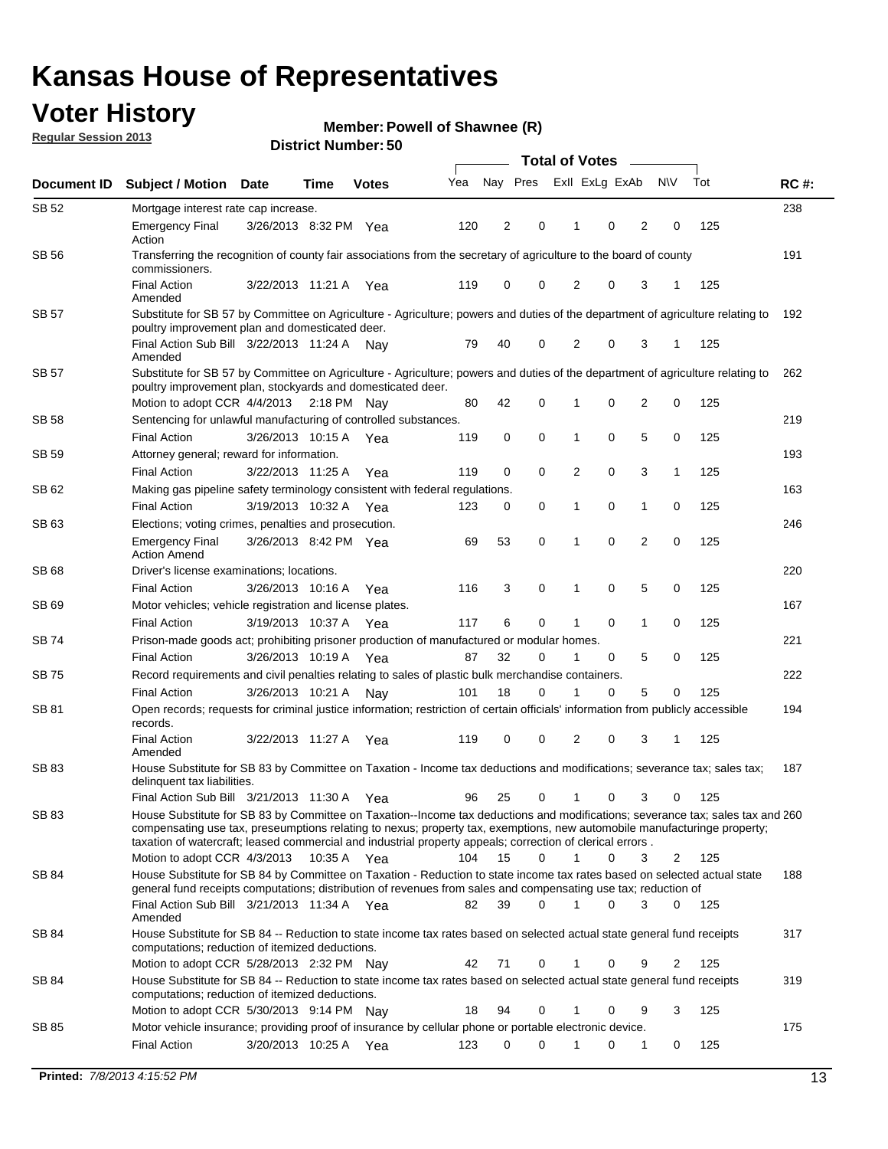### **Voter History**

**Member: Powell of Shawnee (R)** 

**Regular Session 2013**

|              |                                                                                                                                                                                                                                            |                       |             |              |     | <b>Total of Votes</b> |             |                |   |                |             |     |             |  |
|--------------|--------------------------------------------------------------------------------------------------------------------------------------------------------------------------------------------------------------------------------------------|-----------------------|-------------|--------------|-----|-----------------------|-------------|----------------|---|----------------|-------------|-----|-------------|--|
| Document ID  | <b>Subject / Motion Date</b>                                                                                                                                                                                                               |                       | Time        | <b>Votes</b> | Yea | Nay Pres              |             | Exll ExLg ExAb |   |                | <b>NV</b>   | Tot | <b>RC#:</b> |  |
| SB 52        | Mortgage interest rate cap increase.                                                                                                                                                                                                       |                       |             |              |     |                       |             |                |   |                |             |     | 238         |  |
|              | <b>Emergency Final</b><br>Action                                                                                                                                                                                                           | 3/26/2013 8:32 PM Yea |             |              | 120 | 2                     | 0           |                | 0 | 2              | 0           | 125 |             |  |
| SB 56        | Transferring the recognition of county fair associations from the secretary of agriculture to the board of county<br>commissioners.                                                                                                        |                       |             |              |     |                       |             |                |   |                |             |     | 191         |  |
|              | <b>Final Action</b><br>Amended                                                                                                                                                                                                             | 3/22/2013 11:21 A     |             | Yea          | 119 | 0                     | 0           | 2              | 0 | 3              | 1           | 125 |             |  |
| SB 57        | Substitute for SB 57 by Committee on Agriculture - Agriculture; powers and duties of the department of agriculture relating to                                                                                                             |                       |             |              |     |                       |             |                |   |                |             |     | 192         |  |
|              | poultry improvement plan and domesticated deer.<br>Final Action Sub Bill 3/22/2013 11:24 A<br>Amended                                                                                                                                      |                       |             | Nav          | 79  | 40                    | 0           | 2              | 0 | 3              | 1           | 125 |             |  |
| SB 57        | Substitute for SB 57 by Committee on Agriculture - Agriculture; powers and duties of the department of agriculture relating to<br>poultry improvement plan, stockyards and domesticated deer.                                              |                       |             |              |     |                       |             |                |   |                |             |     | 262         |  |
|              | Motion to adopt CCR 4/4/2013 2:18 PM Nay                                                                                                                                                                                                   |                       |             |              | 80  | 42                    | 0           | 1              | 0 | 2              | 0           | 125 |             |  |
| SB 58        | Sentencing for unlawful manufacturing of controlled substances.                                                                                                                                                                            |                       |             |              |     |                       |             |                |   |                |             |     | 219         |  |
|              | <b>Final Action</b>                                                                                                                                                                                                                        | 3/26/2013 10:15 A     |             | Yea          | 119 | 0                     | 0           | 1              | 0 | 5              | 0           | 125 |             |  |
| <b>SB 59</b> | Attorney general; reward for information.                                                                                                                                                                                                  |                       |             |              |     |                       |             |                |   |                |             |     | 193         |  |
|              | <b>Final Action</b>                                                                                                                                                                                                                        | 3/22/2013 11:25 A     |             | Yea          | 119 | 0                     | 0           | 2              | 0 | 3              | 1           | 125 |             |  |
| SB 62        | Making gas pipeline safety terminology consistent with federal regulations.                                                                                                                                                                |                       |             |              |     |                       |             |                |   |                |             |     | 163         |  |
|              | <b>Final Action</b>                                                                                                                                                                                                                        | 3/19/2013 10:32 A     |             | Yea          | 123 | 0                     | 0           | 1              | 0 | 1              | 0           | 125 |             |  |
| SB 63        | Elections; voting crimes, penalties and prosecution.                                                                                                                                                                                       |                       |             |              |     |                       |             |                |   |                |             |     | 246         |  |
|              | <b>Emergency Final</b><br><b>Action Amend</b>                                                                                                                                                                                              | 3/26/2013 8:42 PM Yea |             |              | 69  | 53                    | $\mathbf 0$ | 1              | 0 | $\overline{2}$ | $\mathbf 0$ | 125 |             |  |
| SB 68        | Driver's license examinations; locations.                                                                                                                                                                                                  |                       |             |              |     |                       |             |                |   |                |             |     | 220         |  |
|              | <b>Final Action</b>                                                                                                                                                                                                                        | 3/26/2013 10:16 A     |             | Yea          | 116 | 3                     | 0           | 1              | 0 | 5              | 0           | 125 |             |  |
| SB 69        | Motor vehicles; vehicle registration and license plates.                                                                                                                                                                                   |                       |             |              |     |                       |             |                |   |                |             |     | 167         |  |
|              | <b>Final Action</b>                                                                                                                                                                                                                        | 3/19/2013 10:37 A     |             | Yea          | 117 | 6                     | 0           | 1              | 0 | $\mathbf{1}$   | 0           | 125 |             |  |
| SB 74        | Prison-made goods act; prohibiting prisoner production of manufactured or modular homes.                                                                                                                                                   |                       |             |              |     |                       |             |                |   |                |             |     | 221         |  |
|              | <b>Final Action</b>                                                                                                                                                                                                                        | 3/26/2013 10:19 A     |             | Yea          | 87  | 32                    | 0           | 1              | 0 | 5              | 0           | 125 |             |  |
| SB 75        | Record requirements and civil penalties relating to sales of plastic bulk merchandise containers.                                                                                                                                          |                       |             |              |     |                       |             |                |   |                |             |     | 222         |  |
|              | <b>Final Action</b>                                                                                                                                                                                                                        | 3/26/2013 10:21 A     |             | Nav          | 101 | 18                    | 0           | 1              | 0 | 5              | 0           | 125 |             |  |
| SB 81        | Open records; requests for criminal justice information; restriction of certain officials' information from publicly accessible<br>records.                                                                                                |                       |             |              |     |                       |             |                |   |                |             |     | 194         |  |
|              | <b>Final Action</b><br>Amended                                                                                                                                                                                                             | 3/22/2013 11:27 A     |             | Yea          | 119 | 0                     | 0           | 2              | 0 | 3              | 1           | 125 |             |  |
| <b>SB83</b>  | House Substitute for SB 83 by Committee on Taxation - Income tax deductions and modifications; severance tax; sales tax;<br>delinquent tax liabilities.<br>Final Action Sub Bill 3/21/2013 11:30 A Yea                                     |                       |             |              | 96  | 25                    | 0           | 1              | 0 | 3              | 0           | 125 | 187         |  |
| SB 83        | House Substitute for SB 83 by Committee on Taxation--Income tax deductions and modifications; severance tax; sales tax and 260                                                                                                             |                       |             |              |     |                       |             |                |   |                |             |     |             |  |
|              | compensating use tax, preseumptions relating to nexus; property tax, exemptions, new automobile manufacturinge property;<br>taxation of watercraft; leased commercial and industrial property appeals; correction of clerical errors.      |                       |             |              |     |                       |             |                |   |                |             |     |             |  |
|              | Motion to adopt CCR 4/3/2013                                                                                                                                                                                                               |                       | 10:35 A Yea |              | 104 | 15                    | 0           | $\mathbf{1}$   | 0 | 3              | 2           | 125 |             |  |
| SB 84        | House Substitute for SB 84 by Committee on Taxation - Reduction to state income tax rates based on selected actual state<br>general fund receipts computations; distribution of revenues from sales and compensating use tax; reduction of |                       |             |              |     |                       | $\Omega$    |                | 0 | 3              | $\Omega$    |     | 188         |  |
| SB 84        | Final Action Sub Bill 3/21/2013 11:34 A Yea<br>Amended<br>House Substitute for SB 84 -- Reduction to state income tax rates based on selected actual state general fund receipts                                                           |                       |             |              | 82  | 39                    |             |                |   |                |             | 125 | 317         |  |
|              | computations; reduction of itemized deductions.<br>Motion to adopt CCR 5/28/2013 2:32 PM Nav                                                                                                                                               |                       |             |              | 42  | 71                    | 0           |                | 0 | 9              | 2           | 125 |             |  |
| SB 84        | House Substitute for SB 84 -- Reduction to state income tax rates based on selected actual state general fund receipts                                                                                                                     |                       |             |              |     |                       |             |                |   |                |             |     | 319         |  |
|              | computations; reduction of itemized deductions.<br>Motion to adopt CCR 5/30/2013 9:14 PM Nay                                                                                                                                               |                       |             |              | 18  | 94                    | 0           |                | 0 | 9              | 3           | 125 |             |  |
| SB 85        | Motor vehicle insurance; providing proof of insurance by cellular phone or portable electronic device.                                                                                                                                     |                       |             |              |     |                       |             |                |   |                |             |     | 175         |  |
|              | <b>Final Action</b>                                                                                                                                                                                                                        | 3/20/2013 10:25 A Yea |             |              | 123 | 0                     | $\Omega$    |                | 0 | 1              | 0           | 125 |             |  |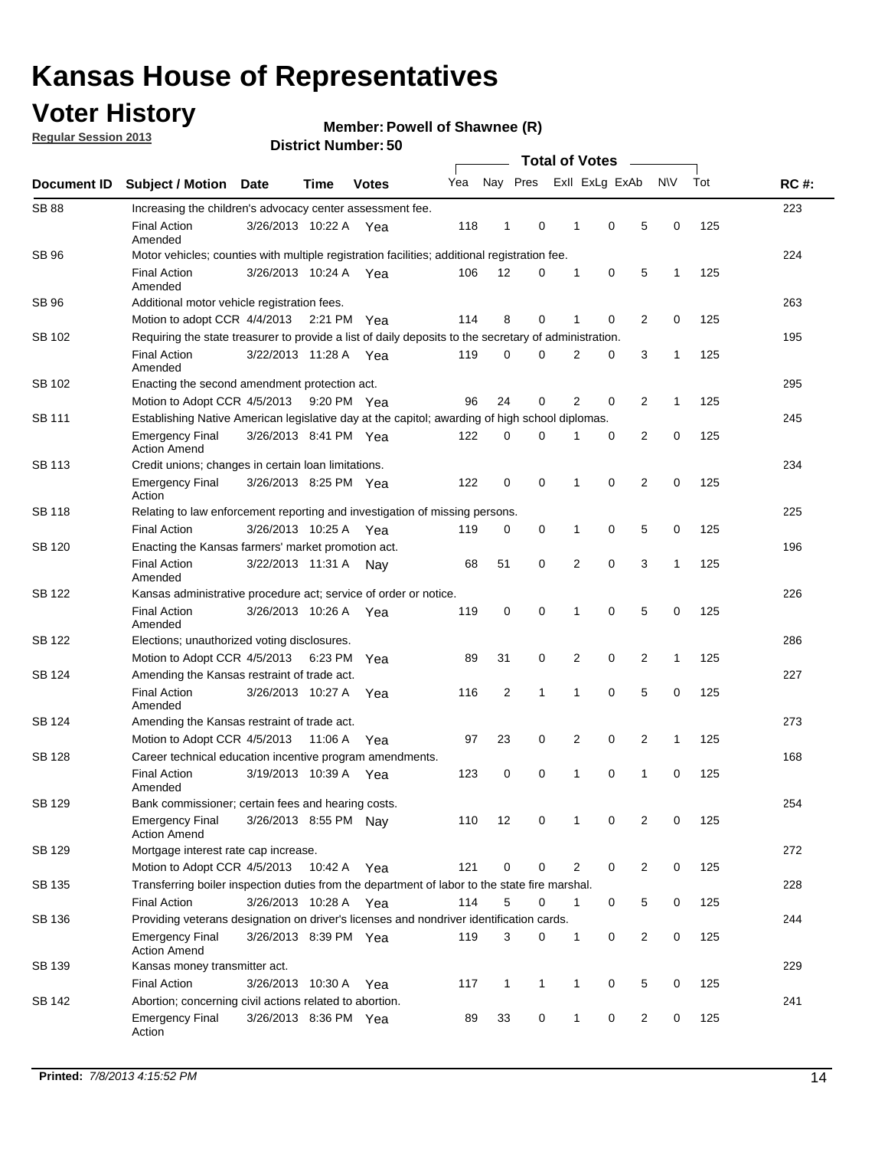### **Voter History**

**Member: Powell of Shawnee (R)** 

**Regular Session 2013**

|                    |                                                                                                       | טט. וסמוווטנו ועוווט  | <b>Total of Votes</b> |              |     |              |              |  |                |                |                |             |     |             |
|--------------------|-------------------------------------------------------------------------------------------------------|-----------------------|-----------------------|--------------|-----|--------------|--------------|--|----------------|----------------|----------------|-------------|-----|-------------|
| <b>Document ID</b> | <b>Subject / Motion</b>                                                                               | <b>Date</b>           | Time                  | <b>Votes</b> | Yea |              | Nay Pres     |  |                | Exll ExLg ExAb |                | <b>NV</b>   | Tot | <b>RC#:</b> |
| <b>SB 88</b>       | Increasing the children's advocacy center assessment fee.                                             |                       |                       |              |     |              |              |  |                |                |                |             |     | 223         |
|                    | <b>Final Action</b><br>Amended                                                                        | 3/26/2013 10:22 A Yea |                       |              | 118 | 1            | 0            |  | 1              | $\mathbf 0$    | 5              | 0           | 125 |             |
| SB 96              | Motor vehicles; counties with multiple registration facilities; additional registration fee.          |                       |                       |              |     |              |              |  |                |                |                |             |     | 224         |
|                    | <b>Final Action</b><br>Amended                                                                        | 3/26/2013 10:24 A     |                       | Yea          | 106 | 12           | $\Omega$     |  | 1              | 0              | 5              | 1           | 125 |             |
| SB 96              | Additional motor vehicle registration fees.                                                           |                       |                       |              |     |              |              |  |                |                |                |             |     | 263         |
|                    | Motion to adopt CCR 4/4/2013 2:21 PM Yea                                                              |                       |                       |              | 114 | 8            | 0            |  | 1              | 0              | 2              | 0           | 125 |             |
| SB 102             | Requiring the state treasurer to provide a list of daily deposits to the secretary of administration. |                       |                       |              |     |              |              |  |                |                |                |             |     | 195         |
|                    | <b>Final Action</b><br>Amended                                                                        | 3/22/2013 11:28 A Yea |                       |              | 119 | 0            | 0            |  | 2              | 0              | 3              | 1           | 125 |             |
| SB 102             | Enacting the second amendment protection act.                                                         |                       |                       |              |     |              |              |  |                |                |                |             |     | 295         |
|                    | Motion to Adopt CCR 4/5/2013 9:20 PM Yea                                                              |                       |                       |              | 96  | 24           | 0            |  | $\overline{2}$ | 0              | 2              | 1           | 125 |             |
| <b>SB 111</b>      | Establishing Native American legislative day at the capitol; awarding of high school diplomas.        |                       |                       |              |     |              |              |  |                |                |                |             |     | 245         |
|                    | <b>Emergency Final</b><br><b>Action Amend</b>                                                         | 3/26/2013 8:41 PM Yea |                       |              | 122 | 0            | 0            |  | 1              | 0              | 2              | 0           | 125 |             |
| SB 113             | Credit unions; changes in certain loan limitations.                                                   |                       |                       |              |     |              |              |  |                |                |                |             |     | 234         |
|                    | <b>Emergency Final</b><br>Action                                                                      | 3/26/2013 8:25 PM Yea |                       |              | 122 | 0            | 0            |  | 1              | $\mathbf 0$    | $\overline{2}$ | 0           | 125 |             |
| SB 118             | Relating to law enforcement reporting and investigation of missing persons.                           |                       |                       |              |     |              |              |  |                |                |                |             |     | 225         |
|                    | <b>Final Action</b>                                                                                   | 3/26/2013 10:25 A     |                       | Yea          | 119 | 0            | 0            |  | 1              | 0              | 5              | 0           | 125 |             |
| SB 120             | Enacting the Kansas farmers' market promotion act.                                                    |                       |                       |              |     |              |              |  |                |                |                | 196         |     |             |
|                    | <b>Final Action</b><br>Amended                                                                        | 3/22/2013 11:31 A     |                       | Nav          | 68  | 51           | 0            |  | $\overline{2}$ | 0              | 3              | 1           | 125 |             |
| SB 122             | Kansas administrative procedure act; service of order or notice.                                      |                       |                       |              |     |              |              |  |                |                |                |             |     | 226         |
|                    | <b>Final Action</b><br>Amended                                                                        | 3/26/2013 10:26 A Yea |                       |              | 119 | $\mathbf 0$  | 0            |  | 1              | 0              | 5              | 0           | 125 |             |
| <b>SB 122</b>      | Elections; unauthorized voting disclosures.                                                           |                       |                       |              |     |              |              |  |                |                |                |             |     | 286         |
|                    | Motion to Adopt CCR 4/5/2013                                                                          |                       | 6:23 PM               | Yea          | 89  | 31           | 0            |  | 2              | 0              | $\overline{2}$ | 1           | 125 |             |
| SB 124             | Amending the Kansas restraint of trade act.                                                           |                       |                       |              |     |              |              |  |                |                |                |             |     | 227         |
|                    | <b>Final Action</b><br>Amended                                                                        | 3/26/2013 10:27 A     |                       | Yea          | 116 | 2            | 1            |  | 1              | $\mathbf 0$    | 5              | $\mathbf 0$ | 125 |             |
| SB 124             | Amending the Kansas restraint of trade act.                                                           |                       |                       |              |     |              |              |  |                |                |                |             |     | 273         |
|                    | Motion to Adopt CCR 4/5/2013                                                                          |                       | 11:06 A               | Yea          | 97  | 23           | 0            |  | 2              | 0              | 2              | 1           | 125 |             |
| SB 128             | Career technical education incentive program amendments.                                              |                       |                       |              |     |              |              |  |                |                |                |             |     | 168         |
|                    | <b>Final Action</b><br>Amended                                                                        | 3/19/2013 10:39 A     |                       | Yea          | 123 | 0            | 0            |  | 1              | 0              | 1              | 0           | 125 |             |
| SB 129             | Bank commissioner; certain fees and hearing costs.                                                    |                       |                       |              |     |              |              |  |                |                |                |             |     | 254         |
|                    | <b>Emergency Final</b><br><b>Action Amend</b>                                                         | 3/26/2013 8:55 PM Nay |                       |              | 110 | 12           | 0            |  | 1              | 0              | 2              | 0           | 125 |             |
| SB 129             | Mortgage interest rate cap increase.                                                                  |                       |                       |              |     |              |              |  |                |                |                |             |     | 272         |
|                    | Motion to Adopt CCR 4/5/2013                                                                          |                       | 10:42 A Yea           |              | 121 | 0            | 0            |  | $\overline{2}$ | 0              | 2              | 0           | 125 |             |
| SB 135             | Transferring boiler inspection duties from the department of labor to the state fire marshal.         |                       |                       |              |     |              |              |  |                |                |                |             |     | 228         |
|                    | <b>Final Action</b>                                                                                   | 3/26/2013 10:28 A Yea |                       |              | 114 | 5            | 0            |  | $\mathbf{1}$   | 0              | 5              | 0           | 125 |             |
| SB 136             | Providing veterans designation on driver's licenses and nondriver identification cards.               |                       |                       |              |     |              |              |  |                |                |                |             |     | 244         |
|                    | <b>Emergency Final</b><br><b>Action Amend</b>                                                         | 3/26/2013 8:39 PM Yea |                       |              | 119 | 3            | 0            |  | $\mathbf{1}$   | 0              | 2              | 0           | 125 |             |
| SB 139             | Kansas money transmitter act.                                                                         |                       |                       |              |     |              |              |  |                |                |                |             |     | 229         |
|                    | <b>Final Action</b>                                                                                   | 3/26/2013 10:30 A Yea |                       |              | 117 | $\mathbf{1}$ | $\mathbf{1}$ |  | $\mathbf{1}$   | $\mathbf 0$    | 5              | 0           | 125 |             |
| SB 142             | Abortion; concerning civil actions related to abortion.                                               |                       |                       |              |     |              |              |  |                |                |                |             |     | 241         |
|                    | <b>Emergency Final</b><br>Action                                                                      | 3/26/2013 8:36 PM Yea |                       |              | 89  | 33           | 0            |  | $\mathbf{1}$   | 0              | 2              | 0           | 125 |             |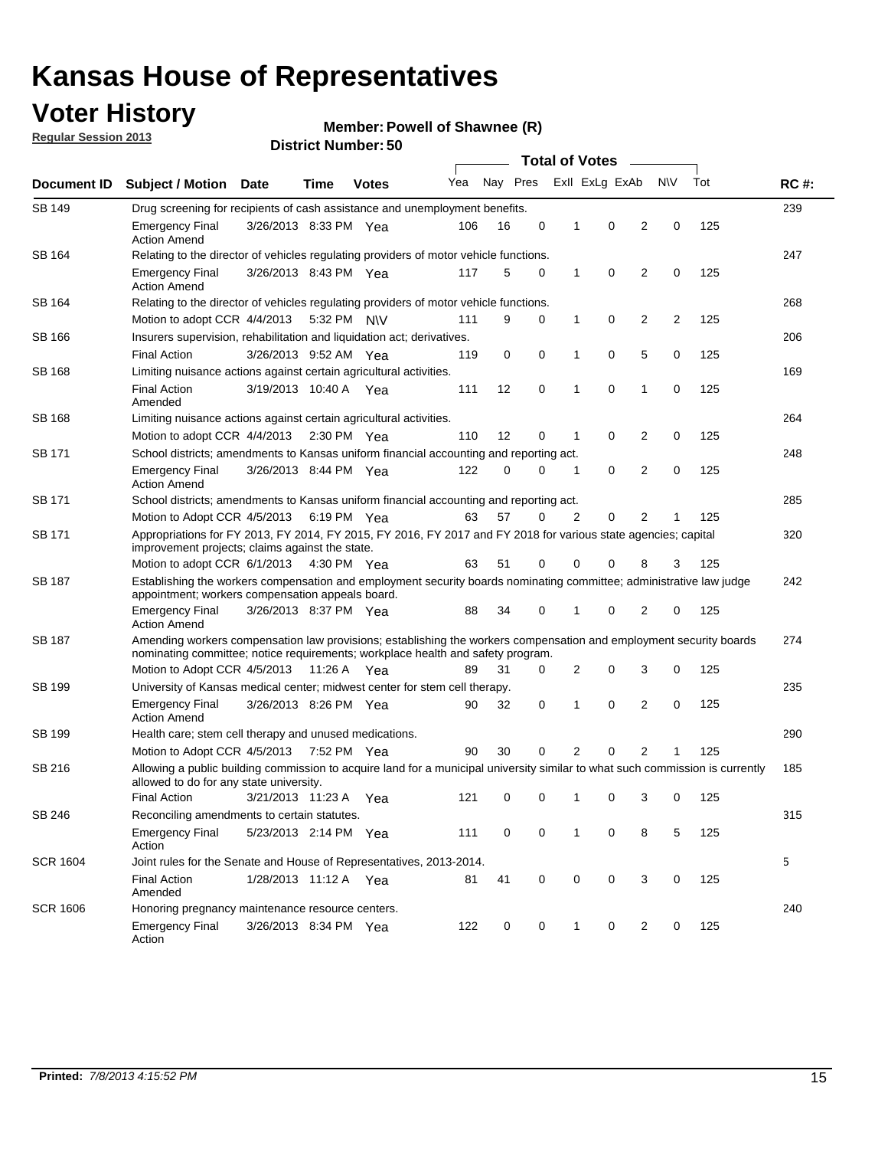### **Voter History**

**Member: Powell of Shawnee (R)** 

**Regular Session 2013**

|                    | טט, וסעווואנו וטוש<br><b>Total of Votes</b>                                                                                                                                                           |                                                                           |                       |              |     |                     |   |              |                |   |           |     |             |
|--------------------|-------------------------------------------------------------------------------------------------------------------------------------------------------------------------------------------------------|---------------------------------------------------------------------------|-----------------------|--------------|-----|---------------------|---|--------------|----------------|---|-----------|-----|-------------|
| <b>Document ID</b> | <b>Subject / Motion Date</b>                                                                                                                                                                          |                                                                           | <b>Time</b>           | <b>Votes</b> | Yea | Nay Pres            |   |              | Exll ExLg ExAb |   | <b>NV</b> | Tot | <b>RC#:</b> |
| <b>SB 149</b>      | Drug screening for recipients of cash assistance and unemployment benefits.                                                                                                                           |                                                                           |                       |              |     |                     |   |              |                |   |           |     | 239         |
|                    | <b>Emergency Final</b><br><b>Action Amend</b>                                                                                                                                                         |                                                                           | 3/26/2013 8:33 PM Yea |              | 106 | 16                  | 0 | 1            | 0              | 2 | 0         | 125 |             |
| SB 164             | Relating to the director of vehicles regulating providers of motor vehicle functions.                                                                                                                 |                                                                           |                       |              |     |                     |   |              |                |   |           |     | 247         |
|                    | <b>Emergency Final</b><br><b>Action Amend</b>                                                                                                                                                         |                                                                           | 3/26/2013 8:43 PM Yea |              | 117 | 5                   | 0 | $\mathbf{1}$ | 0              | 2 | 0         | 125 |             |
| SB 164             | Relating to the director of vehicles regulating providers of motor vehicle functions.                                                                                                                 |                                                                           |                       |              |     |                     |   |              |                |   |           |     | 268         |
|                    | Motion to adopt CCR $4/4/2013$ 5:32 PM N\V                                                                                                                                                            |                                                                           |                       |              | 111 | 9                   | 0 | 1            | 0              | 2 | 2         | 125 |             |
| SB 166             | Insurers supervision, rehabilitation and liquidation act; derivatives.                                                                                                                                |                                                                           |                       |              |     |                     |   |              |                |   |           |     | 206         |
|                    | <b>Final Action</b>                                                                                                                                                                                   |                                                                           | 3/26/2013 9:52 AM Yea |              | 119 | 0                   | 0 | 1            | 0              | 5 | 0         | 125 |             |
| SB 168             | 169<br>Limiting nuisance actions against certain agricultural activities.                                                                                                                             |                                                                           |                       |              |     |                     |   |              |                |   |           |     |             |
|                    | <b>Final Action</b><br>Amended                                                                                                                                                                        | 3/19/2013 10:40 A Yea                                                     |                       |              | 111 | 12                  | 0 | 1            | 0              | 1 | 0         | 125 |             |
| SB 168             |                                                                                                                                                                                                       | 264<br>Limiting nuisance actions against certain agricultural activities. |                       |              |     |                     |   |              |                |   |           |     |             |
|                    | Motion to adopt CCR 4/4/2013 2:30 PM Yea                                                                                                                                                              |                                                                           |                       |              | 110 | $12 \overline{ }$   | 0 | 1            | 0              | 2 | 0         | 125 |             |
| SB 171             | School districts; amendments to Kansas uniform financial accounting and reporting act.                                                                                                                |                                                                           |                       |              |     |                     |   |              |                |   |           |     | 248         |
|                    | <b>Emergency Final</b><br><b>Action Amend</b>                                                                                                                                                         |                                                                           | 3/26/2013 8:44 PM Yea |              | 122 | $\Omega$            | 0 | 1            | 0              | 2 | 0         | 125 |             |
| <b>SB 171</b>      | School districts; amendments to Kansas uniform financial accounting and reporting act.                                                                                                                |                                                                           |                       |              |     |                     |   |              |                |   |           | 285 |             |
|                    | Motion to Adopt CCR 4/5/2013                                                                                                                                                                          |                                                                           |                       | 6:19 PM Yea  | 63  | 57                  | 0 | 2            | 0              | 2 | 1         | 125 |             |
| <b>SB 171</b>      | Appropriations for FY 2013, FY 2014, FY 2015, FY 2016, FY 2017 and FY 2018 for various state agencies; capital<br>improvement projects; claims against the state.                                     |                                                                           |                       |              |     |                     |   |              |                |   |           | 320 |             |
|                    | Motion to adopt CCR 6/1/2013 4:30 PM Yea                                                                                                                                                              |                                                                           |                       |              | 63  | 51                  | 0 | 0            | 0              | 8 | 3         | 125 |             |
| SB 187             | Establishing the workers compensation and employment security boards nominating committee; administrative law judge<br>appointment; workers compensation appeals board.                               |                                                                           |                       |              |     |                     |   |              |                |   |           |     | 242         |
|                    | Emergency Final<br><b>Action Amend</b>                                                                                                                                                                | 3/26/2013 8:37 PM Yea                                                     |                       |              | 88  | 34                  | 0 | 1            | 0              | 2 | 0         | 125 |             |
| SB 187             | Amending workers compensation law provisions; establishing the workers compensation and employment security boards<br>nominating committee; notice requirements; workplace health and safety program. |                                                                           |                       |              |     |                     |   |              |                |   |           |     | 274         |
|                    | Motion to Adopt CCR 4/5/2013 11:26 A Yea                                                                                                                                                              |                                                                           |                       |              | 89  | 31                  | 0 | 2            | 0              | 3 | 0         | 125 |             |
| SB 199             | University of Kansas medical center; midwest center for stem cell therapy.                                                                                                                            |                                                                           |                       |              |     |                     |   |              |                |   |           |     | 235         |
|                    | <b>Emergency Final</b><br><b>Action Amend</b>                                                                                                                                                         |                                                                           | 3/26/2013 8:26 PM Yea |              | 90  | 32                  | 0 | 1            | 0              | 2 | 0         | 125 |             |
| SB 199             | Health care; stem cell therapy and unused medications.                                                                                                                                                |                                                                           |                       |              |     |                     |   |              |                |   |           |     | 290         |
|                    | Motion to Adopt CCR 4/5/2013 7:52 PM Yea                                                                                                                                                              |                                                                           |                       |              | 90  | 30                  | 0 | 2            | 0              | 2 |           | 125 |             |
| SB 216             | Allowing a public building commission to acquire land for a municipal university similar to what such commission is currently<br>allowed to do for any state university.                              |                                                                           |                       |              |     |                     |   |              |                |   |           |     | 185         |
|                    | Final Action 3/21/2013 11:23 A Yea                                                                                                                                                                    |                                                                           |                       |              |     | 121 0 0 1 0 3 0 125 |   |              |                |   |           |     |             |
| SB 246             | Reconciling amendments to certain statutes.                                                                                                                                                           |                                                                           |                       |              |     |                     |   |              |                |   |           |     | 315         |
|                    | <b>Emergency Final</b><br>Action                                                                                                                                                                      | 5/23/2013 2:14 PM Yea                                                     |                       |              | 111 | 0                   | 0 | 1            | 0              | 8 | 5         | 125 |             |
| <b>SCR 1604</b>    | Joint rules for the Senate and House of Representatives, 2013-2014.                                                                                                                                   |                                                                           |                       |              |     |                     |   |              |                |   |           |     | 5           |
|                    | <b>Final Action</b><br>Amended                                                                                                                                                                        |                                                                           | 1/28/2013 11:12 A Yea |              | 81  | 41                  | 0 | 0            | 0              | 3 | 0         | 125 |             |
| <b>SCR 1606</b>    | Honoring pregnancy maintenance resource centers.                                                                                                                                                      |                                                                           |                       |              |     |                     |   |              |                |   |           | 240 |             |
|                    | <b>Emergency Final</b><br>Action                                                                                                                                                                      |                                                                           | 3/26/2013 8:34 PM Yea |              | 122 | 0                   | 0 | 1            | 0              | 2 | 0         | 125 |             |